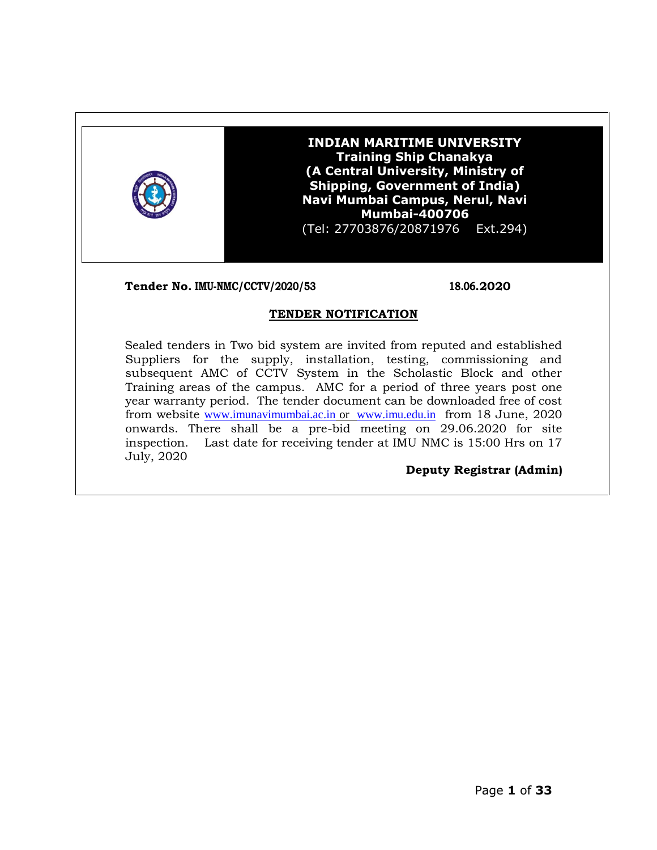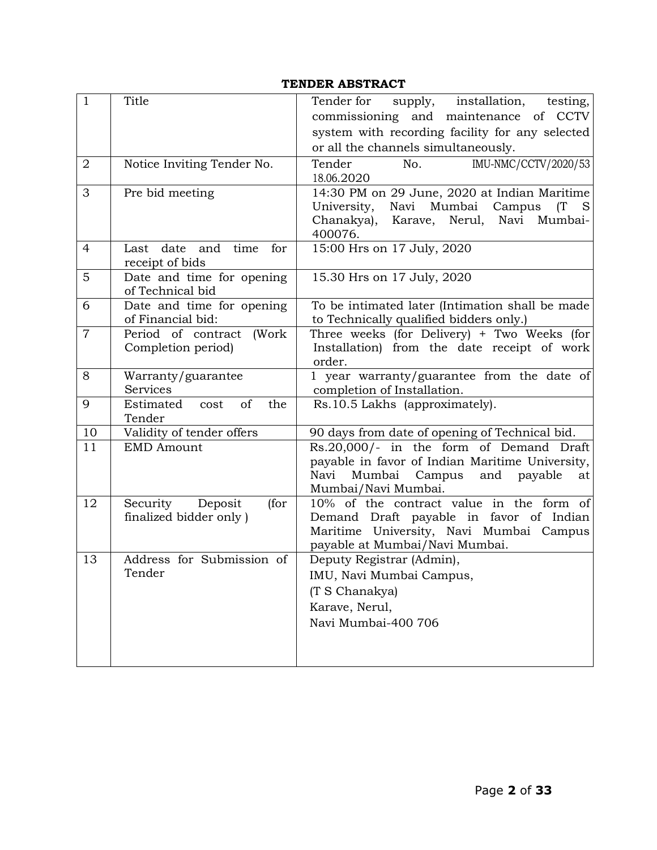# **TENDER ABSTRACT**

| $\mathbf{1}$   | Title                                              | supply, installation,<br>Tender for<br>testing,<br>commissioning and maintenance of CCTV<br>system with recording facility for any selected<br>or all the channels simultaneously. |
|----------------|----------------------------------------------------|------------------------------------------------------------------------------------------------------------------------------------------------------------------------------------|
| 2              | Notice Inviting Tender No.                         | IMU-NMC/CCTV/2020/53<br>Tender<br>No.<br>18.06.2020                                                                                                                                |
| 3              | Pre bid meeting                                    | 14:30 PM on 29 June, 2020 at Indian Maritime<br>Mumbai<br>University,<br>Navi<br>Campus<br>(T<br>Karave, Nerul,<br>Chanakya),<br>Navi Mumbai-<br>400076.                           |
| 4              | Last date and<br>time<br>for<br>receipt of bids    | 15:00 Hrs on 17 July, 2020                                                                                                                                                         |
| 5              | Date and time for opening<br>of Technical bid      | 15.30 Hrs on 17 July, 2020                                                                                                                                                         |
| 6              | Date and time for opening<br>of Financial bid:     | To be intimated later (Intimation shall be made<br>to Technically qualified bidders only.)                                                                                         |
| $\overline{7}$ | Period of contract (Work<br>Completion period)     | Three weeks (for Delivery) + Two Weeks (for<br>Installation) from the date receipt of work<br>order.                                                                               |
| 8              | Warranty/guarantee<br>Services                     | 1 year warranty/guarantee from the date of<br>completion of Installation.                                                                                                          |
| 9              | of<br>Estimated<br>the<br>cost<br>Tender           | Rs.10.5 Lakhs (approximately).                                                                                                                                                     |
| 10             | Validity of tender offers                          | 90 days from date of opening of Technical bid.                                                                                                                                     |
| 11             | <b>EMD Amount</b>                                  | Rs.20,000/- in the form of Demand Draft<br>payable in favor of Indian Maritime University,<br>Mumbai<br>Campus<br>and payable<br>Navi<br>at<br>Mumbai/Navi Mumbai.                 |
| 12             | Security Deposit<br>(for<br>finalized bidder only) | 10% of the contract value in the form of<br>Demand Draft payable in favor of Indian<br>Maritime University, Navi Mumbai Campus<br>payable at Mumbai/Navi Mumbai.                   |
| 13             | Address for Submission of<br>Tender                | Deputy Registrar (Admin),<br>IMU, Navi Mumbai Campus,<br>(T S Chanakya)<br>Karave, Nerul,<br>Navi Mumbai-400 706                                                                   |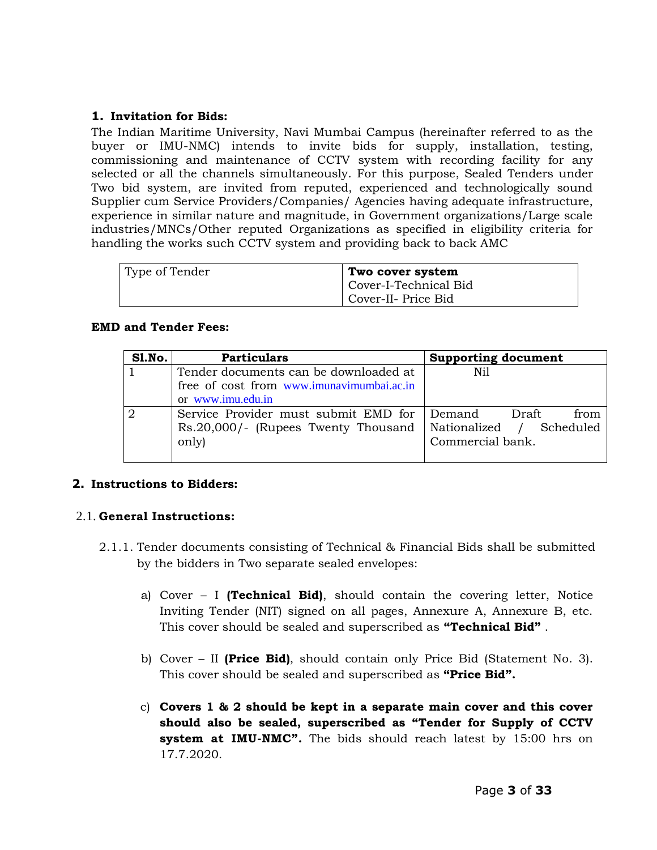#### **1. Invitation for Bids:**

The Indian Maritime University, Navi Mumbai Campus (hereinafter referred to as the buyer or IMU-NMC) intends to invite bids for supply, installation, testing, commissioning and maintenance of CCTV system with recording facility for any selected or all the channels simultaneously. For this purpose, Sealed Tenders under Two bid system, are invited from reputed, experienced and technologically sound Supplier cum Service Providers/Companies/ Agencies having adequate infrastructure, experience in similar nature and magnitude, in Government organizations/Large scale industries/MNCs/Other reputed Organizations as specified in eligibility criteria for handling the works such CCTV system and providing back to back AMC

| Type of Tender | Two cover system      |
|----------------|-----------------------|
|                | Cover-I-Technical Bid |
|                | Cover-II- Price Bid   |

#### **EMD and Tender Fees:**

| Sl.No. | <b>Particulars</b>                                                                                      | <b>Supporting document</b>                           |
|--------|---------------------------------------------------------------------------------------------------------|------------------------------------------------------|
|        | Tender documents can be downloaded at<br>free of cost from www.imunavimumbai.ac.in<br>or www.imu.edu.in | Nil                                                  |
|        | Service Provider must submit EMD for   Demand Draft<br>Rs.20,000/- (Rupees Twenty Thousand<br>only)     | from<br>Nationalized / Scheduled<br>Commercial bank. |

### **2. Instructions to Bidders:**

### 2.1. **General Instructions:**

- 2.1.1. Tender documents consisting of Technical & Financial Bids shall be submitted by the bidders in Two separate sealed envelopes:
	- a) Cover I **(Technical Bid)**, should contain the covering letter, Notice Inviting Tender (NIT) signed on all pages, Annexure A, Annexure B, etc. This cover should be sealed and superscribed as **"Technical Bid"** .
	- b) Cover II **(Price Bid)**, should contain only Price Bid (Statement No. 3). This cover should be sealed and superscribed as **"Price Bid".**
	- c) **Covers 1 & 2 should be kept in a separate main cover and this cover should also be sealed, superscribed as "Tender for Supply of CCTV system at IMU-NMC".** The bids should reach latest by 15:00 hrs on 17.7.2020.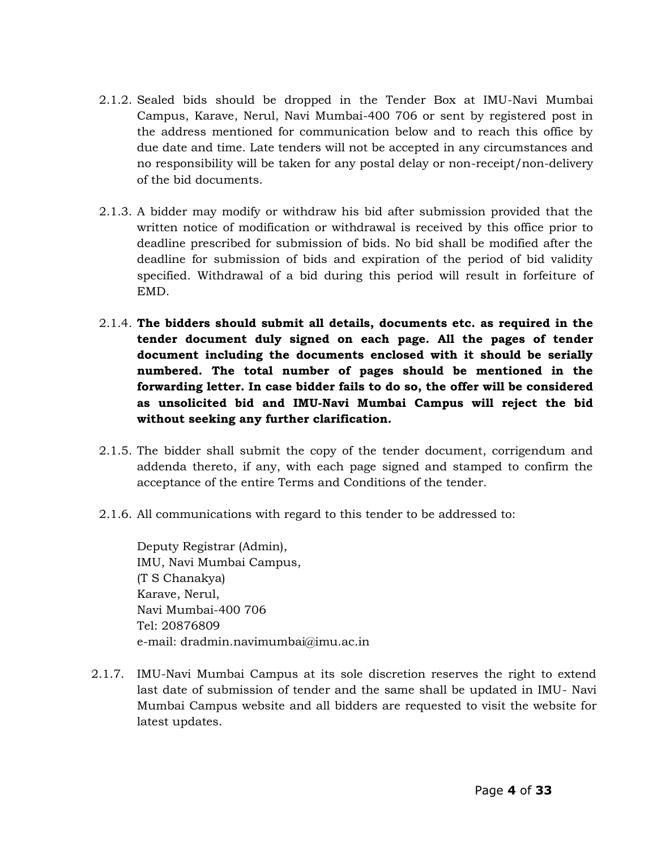- 2.1.2. Sealed bids should be dropped in the Tender Box at IMU-Navi Mumbai Campus, Karave, Nerul, Navi Mumbai-400 706 or sent by registered post in the address mentioned for communication below and to reach this office by due date and time. Late tenders will not be accepted in any circumstances and no responsibility will be taken for any postal delay or non-receipt/non-delivery of the bid documents.
- 2.1.3. A bidder may modify or withdraw his bid after submission provided that the written notice of modification or withdrawal is received by this office prior to deadline prescribed for submission of bids. No bid shall be modified after the deadline for submission of bids and expiration of the period of bid validity specified. Withdrawal of a bid during this period will result in forfeiture of EMD.
- 2.1.4. **The bidders should submit all details, documents etc. as required in the tender document duly signed on each page. All the pages of tender document including the documents enclosed with it should be serially numbered. The total number of pages should be mentioned in the forwarding letter. In case bidder fails to do so, the offer will be considered as unsolicited bid and IMU-Navi Mumbai Campus will reject the bid without seeking any further clarification.**
- 2.1.5. The bidder shall submit the copy of the tender document, corrigendum and addenda thereto, if any, with each page signed and stamped to confirm the acceptance of the entire Terms and Conditions of the tender.
- 2.1.6. All communications with regard to this tender to be addressed to:

Deputy Registrar (Admin), IMU, Navi Mumbai Campus, (T S Chanakya) Karave, Nerul, Navi Mumbai-400 706 Tel: 20876809 e-mail: dradmin.navimumbai@imu.ac.in

2.1.7. IMU-Navi Mumbai Campus at its sole discretion reserves the right to extend last date of submission of tender and the same shall be updated in IMU- Navi Mumbai Campus website and all bidders are requested to visit the website for latest updates.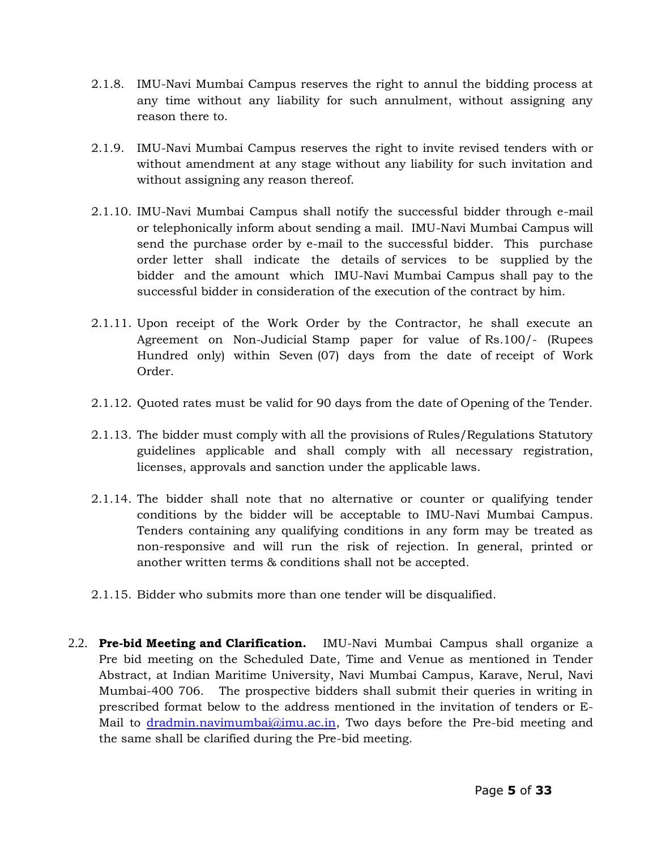- 2.1.8. IMU-Navi Mumbai Campus reserves the right to annul the bidding process at any time without any liability for such annulment, without assigning any reason there to.
- 2.1.9. IMU-Navi Mumbai Campus reserves the right to invite revised tenders with or without amendment at any stage without any liability for such invitation and without assigning any reason thereof.
- 2.1.10. IMU-Navi Mumbai Campus shall notify the successful bidder through e-mail or telephonically inform about sending a mail. IMU-Navi Mumbai Campus will send the purchase order by e-mail to the successful bidder. This purchase order letter shall indicate the details of services to be supplied by the bidder and the amount which IMU-Navi Mumbai Campus shall pay to the successful bidder in consideration of the execution of the contract by him.
- 2.1.11. Upon receipt of the Work Order by the Contractor, he shall execute an Agreement on Non-Judicial Stamp paper for value of Rs.100/- (Rupees Hundred only) within Seven (07) days from the date of receipt of Work Order.
- 2.1.12. Quoted rates must be valid for 90 days from the date of Opening of the Tender.
- 2.1.13. The bidder must comply with all the provisions of Rules/Regulations Statutory guidelines applicable and shall comply with all necessary registration, licenses, approvals and sanction under the applicable laws.
- 2.1.14. The bidder shall note that no alternative or counter or qualifying tender conditions by the bidder will be acceptable to IMU-Navi Mumbai Campus. Tenders containing any qualifying conditions in any form may be treated as non-responsive and will run the risk of rejection. In general, printed or another written terms & conditions shall not be accepted.
- 2.1.15. Bidder who submits more than one tender will be disqualified.
- 2.2. **Pre-bid Meeting and Clarification.** IMU-Navi Mumbai Campus shall organize a Pre bid meeting on the Scheduled Date, Time and Venue as mentioned in Tender Abstract, at Indian Maritime University, Navi Mumbai Campus, Karave, Nerul, Navi Mumbai-400 706. The prospective bidders shall submit their queries in writing in prescribed format below to the address mentioned in the invitation of tenders or EMail to [dradmin.navimumbai@imu.ac.in,](mailto:dradmin.navimumbai@imu.ac.in) Two days before the Pre-bid meeting and the same shall be clarified during the Pre-bid meeting.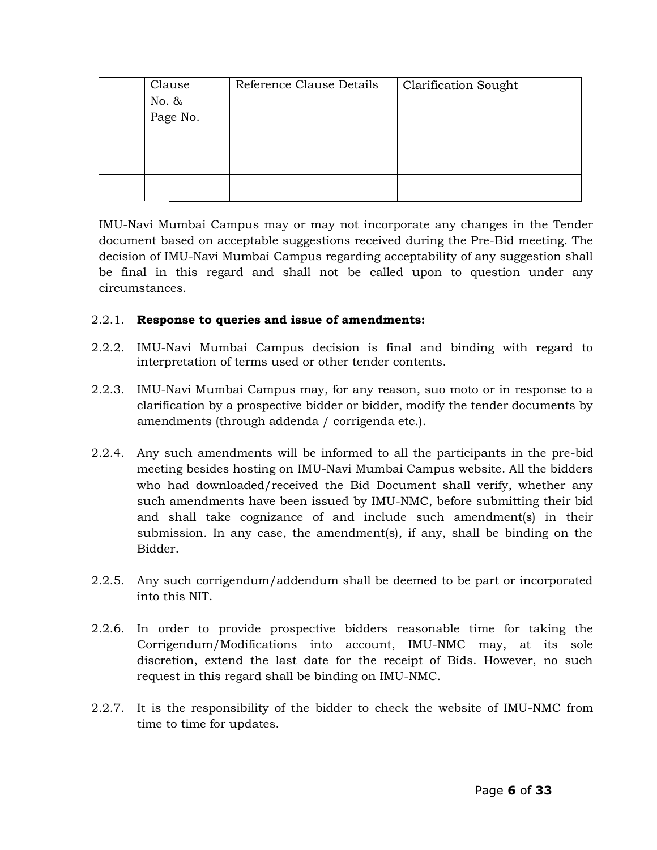| Clause<br>No. &<br>Page No. | Reference Clause Details | <b>Clarification Sought</b> |
|-----------------------------|--------------------------|-----------------------------|
|                             |                          |                             |

IMU-Navi Mumbai Campus may or may not incorporate any changes in the Tender document based on acceptable suggestions received during the Pre-Bid meeting. The decision of IMU-Navi Mumbai Campus regarding acceptability of any suggestion shall be final in this regard and shall not be called upon to question under any circumstances.

### 2.2.1. **Response to queries and issue of amendments:**

- 2.2.2. IMU-Navi Mumbai Campus decision is final and binding with regard to interpretation of terms used or other tender contents.
- 2.2.3. IMU-Navi Mumbai Campus may, for any reason, suo moto or in response to a clarification by a prospective bidder or bidder, modify the tender documents by amendments (through addenda / corrigenda etc.).
- 2.2.4. Any such amendments will be informed to all the participants in the pre-bid meeting besides hosting on IMU-Navi Mumbai Campus website. All the bidders who had downloaded/received the Bid Document shall verify, whether any such amendments have been issued by IMU-NMC, before submitting their bid and shall take cognizance of and include such amendment(s) in their submission. In any case, the amendments, if any, shall be binding on the Bidder.
- 2.2.5. Any such corrigendum/addendum shall be deemed to be part or incorporated into this NIT.
- 2.2.6. In order to provide prospective bidders reasonable time for taking the Corrigendum/Modifications into account, IMU-NMC may, at its sole discretion, extend the last date for the receipt of Bids. However, no such request in this regard shall be binding on IMU-NMC.
- 2.2.7. It is the responsibility of the bidder to check the website of IMU-NMC from time to time for updates.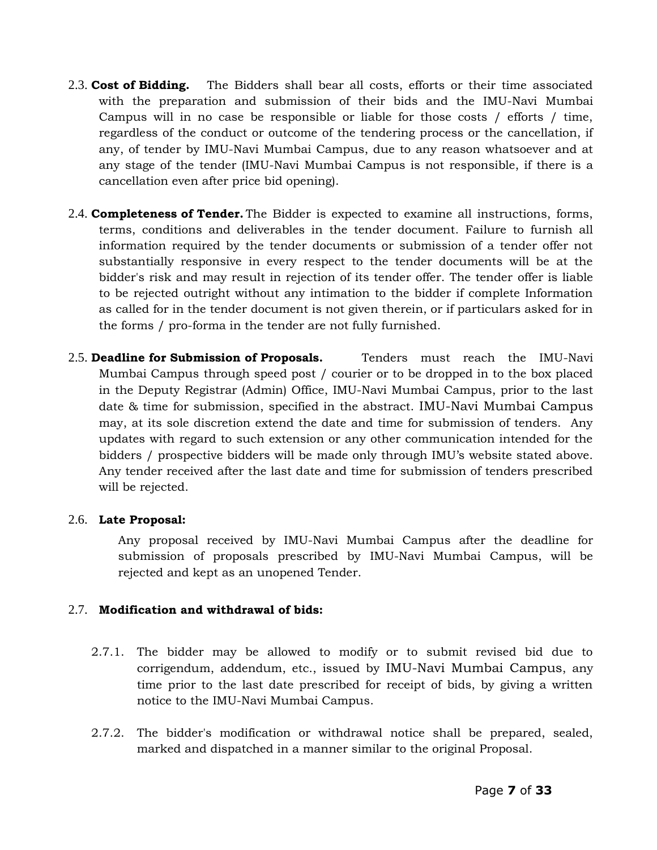- 2.3. **Cost of Bidding.** The Bidders shall bear all costs, efforts or their time associated with the preparation and submission of their bids and the IMU-Navi Mumbai Campus will in no case be responsible or liable for those costs / efforts / time, regardless of the conduct or outcome of the tendering process or the cancellation, if any, of tender by IMU-Navi Mumbai Campus, due to any reason whatsoever and at any stage of the tender (IMU-Navi Mumbai Campus is not responsible, if there is a cancellation even after price bid opening).
- 2.4. **Completeness of Tender.** The Bidder is expected to examine all instructions, forms, terms, conditions and deliverables in the tender document. Failure to furnish all information required by the tender documents or submission of a tender offer not substantially responsive in every respect to the tender documents will be at the bidder's risk and may result in rejection of its tender offer. The tender offer is liable to be rejected outright without any intimation to the bidder if complete Information as called for in the tender document is not given therein, or if particulars asked for in the forms / pro-forma in the tender are not fully furnished.
- 2.5. **Deadline for Submission of Proposals.** Tenders must reach the IMU-Navi Mumbai Campus through speed post / courier or to be dropped in to the box placed in the Deputy Registrar (Admin) Office, IMU-Navi Mumbai Campus, prior to the last date & time for submission, specified in the abstract. IMU-Navi Mumbai Campus may, at its sole discretion extend the date and time for submission of tenders. Any updates with regard to such extension or any other communication intended for the bidders / prospective bidders will be made only through IMU"s website stated above. Any tender received after the last date and time for submission of tenders prescribed will be rejected.

### 2.6. **Late Proposal:**

Any proposal received by IMU-Navi Mumbai Campus after the deadline for submission of proposals prescribed by IMU-Navi Mumbai Campus, will be rejected and kept as an unopened Tender.

### 2.7. **Modification and withdrawal of bids:**

- 2.7.1. The bidder may be allowed to modify or to submit revised bid due to corrigendum, addendum, etc., issued by IMU-Navi Mumbai Campus, any time prior to the last date prescribed for receipt of bids, by giving a written notice to the IMU-Navi Mumbai Campus.
- 2.7.2. The bidder's modification or withdrawal notice shall be prepared, sealed, marked and dispatched in a manner similar to the original Proposal.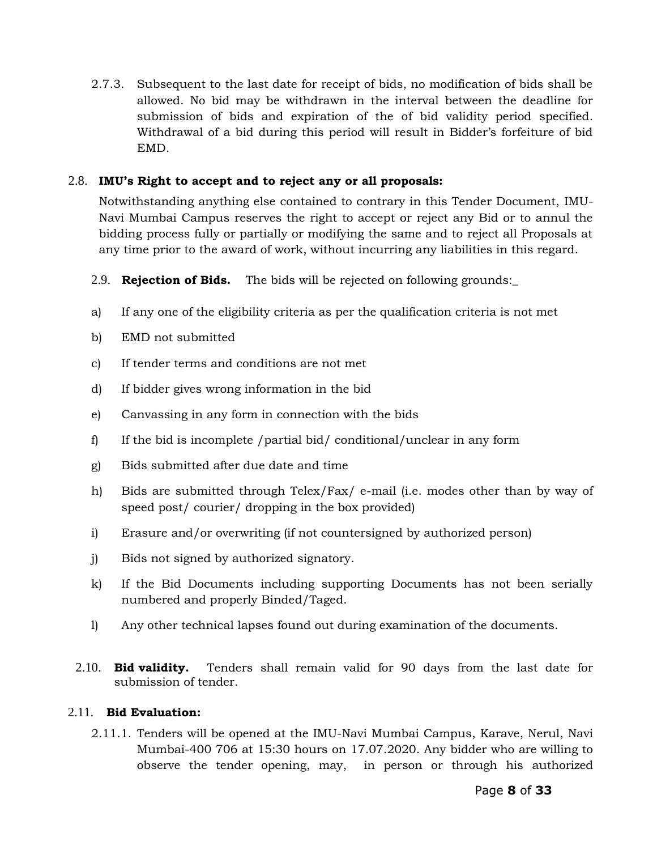2.7.3. Subsequent to the last date for receipt of bids, no modification of bids shall be allowed. No bid may be withdrawn in the interval between the deadline for submission of bids and expiration of the of bid validity period specified. Withdrawal of a bid during this period will result in Bidder"s forfeiture of bid EMD.

### 2.8. **IMU's Right to accept and to reject any or all proposals:**

Notwithstanding anything else contained to contrary in this Tender Document, IMU-Navi Mumbai Campus reserves the right to accept or reject any Bid or to annul the bidding process fully or partially or modifying the same and to reject all Proposals at any time prior to the award of work, without incurring any liabilities in this regard.

- 2.9. **Rejection of Bids.** The bids will be rejected on following grounds:\_
- a) If any one of the eligibility criteria as per the qualification criteria is not met
- b) EMD not submitted
- c) If tender terms and conditions are not met
- d) If bidder gives wrong information in the bid
- e) Canvassing in any form in connection with the bids
- f) If the bid is incomplete /partial bid/ conditional/unclear in any form
- g) Bids submitted after due date and time
- h) Bids are submitted through Telex/Fax/ e-mail (i.e. modes other than by way of speed post/ courier/ dropping in the box provided)
- i) Erasure and/or overwriting (if not countersigned by authorized person)
- j) Bids not signed by authorized signatory.
- k) If the Bid Documents including supporting Documents has not been serially numbered and properly Binded/Taged.
- l) Any other technical lapses found out during examination of the documents.
- 2.10. **Bid validity.** Tenders shall remain valid for 90 days from the last date for submission of tender.

### 2.11. **Bid Evaluation:**

2.11.1. Tenders will be opened at the IMU-Navi Mumbai Campus, Karave, Nerul, Navi Mumbai-400 706 at 15:30 hours on 17.07.2020. Any bidder who are willing to observe the tender opening, may, in person or through his authorized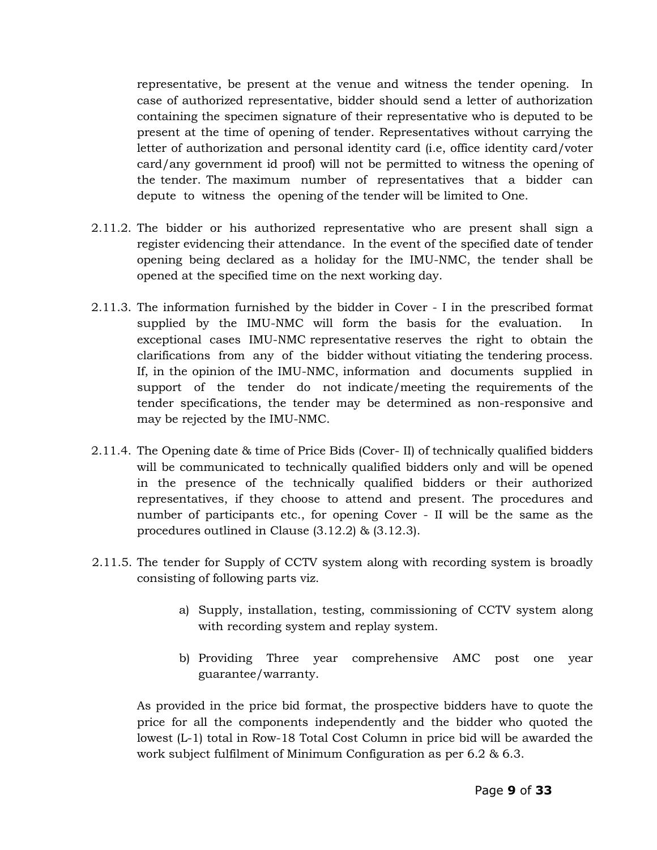representative, be present at the venue and witness the tender opening. In case of authorized representative, bidder should send a letter of authorization containing the specimen signature of their representative who is deputed to be present at the time of opening of tender. Representatives without carrying the letter of authorization and personal identity card (i.e, office identity card/voter card/any government id proof) will not be permitted to witness the opening of the tender. The maximum number of representatives that a bidder can depute to witness the opening of the tender will be limited to One.

- 2.11.2. The bidder or his authorized representative who are present shall sign a register evidencing their attendance. In the event of the specified date of tender opening being declared as a holiday for the IMU-NMC, the tender shall be opened at the specified time on the next working day.
- 2.11.3. The information furnished by the bidder in Cover I in the prescribed format supplied by the IMU-NMC will form the basis for the evaluation. In exceptional cases IMU-NMC representative reserves the right to obtain the clarifications from any of the bidder without vitiating the tendering process. If, in the opinion of the IMU-NMC, information and documents supplied in support of the tender do not indicate/meeting the requirements of the tender specifications, the tender may be determined as non-responsive and may be rejected by the IMU-NMC.
- 2.11.4. The Opening date & time of Price Bids (Cover- II) of technically qualified bidders will be communicated to technically qualified bidders only and will be opened in the presence of the technically qualified bidders or their authorized representatives, if they choose to attend and present. The procedures and number of participants etc., for opening Cover - II will be the same as the procedures outlined in Clause (3.12.2) & (3.12.3).
- 2.11.5. The tender for Supply of CCTV system along with recording system is broadly consisting of following parts viz.
	- a) Supply, installation, testing, commissioning of CCTV system along with recording system and replay system.
	- b) Providing Three year comprehensive AMC post one year guarantee/warranty.

As provided in the price bid format, the prospective bidders have to quote the price for all the components independently and the bidder who quoted the lowest (L-1) total in Row-18 Total Cost Column in price bid will be awarded the work subject fulfilment of Minimum Configuration as per 6.2 & 6.3.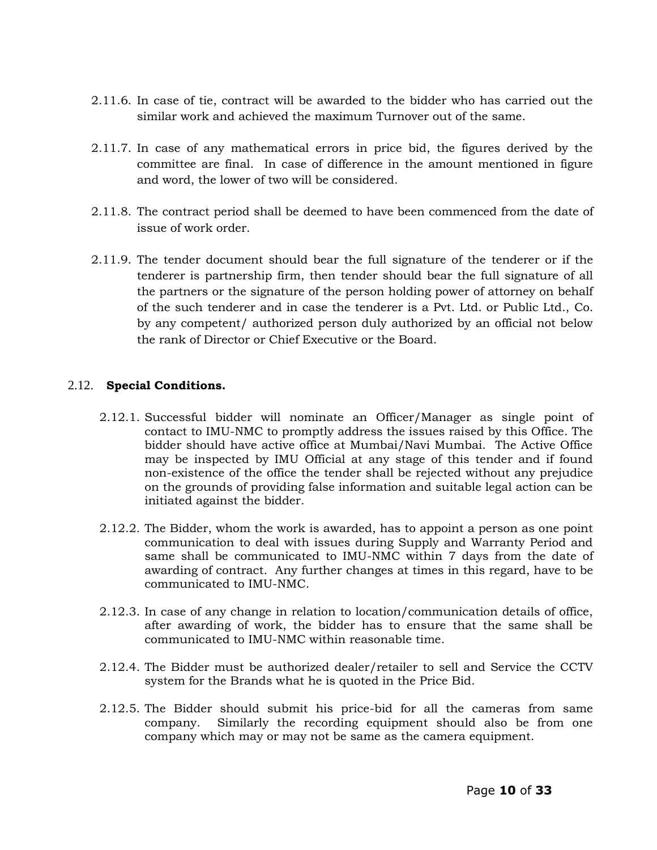- 2.11.6. In case of tie, contract will be awarded to the bidder who has carried out the similar work and achieved the maximum Turnover out of the same.
- 2.11.7. In case of any mathematical errors in price bid, the figures derived by the committee are final. In case of difference in the amount mentioned in figure and word, the lower of two will be considered.
- 2.11.8. The contract period shall be deemed to have been commenced from the date of issue of work order.
- 2.11.9. The tender document should bear the full signature of the tenderer or if the tenderer is partnership firm, then tender should bear the full signature of all the partners or the signature of the person holding power of attorney on behalf of the such tenderer and in case the tenderer is a Pvt. Ltd. or Public Ltd., Co. by any competent/ authorized person duly authorized by an official not below the rank of Director or Chief Executive or the Board.

### 2.12. **Special Conditions.**

- 2.12.1. Successful bidder will nominate an Officer/Manager as single point of contact to IMU-NMC to promptly address the issues raised by this Office. The bidder should have active office at Mumbai/Navi Mumbai. The Active Office may be inspected by IMU Official at any stage of this tender and if found non-existence of the office the tender shall be rejected without any prejudice on the grounds of providing false information and suitable legal action can be initiated against the bidder.
- 2.12.2. The Bidder, whom the work is awarded, has to appoint a person as one point communication to deal with issues during Supply and Warranty Period and same shall be communicated to IMU-NMC within 7 days from the date of awarding of contract. Any further changes at times in this regard, have to be communicated to IMU-NMC.
- 2.12.3. In case of any change in relation to location/communication details of office, after awarding of work, the bidder has to ensure that the same shall be communicated to IMU-NMC within reasonable time.
- 2.12.4. The Bidder must be authorized dealer/retailer to sell and Service the CCTV system for the Brands what he is quoted in the Price Bid.
- 2.12.5. The Bidder should submit his price-bid for all the cameras from same company. Similarly the recording equipment should also be from one company which may or may not be same as the camera equipment.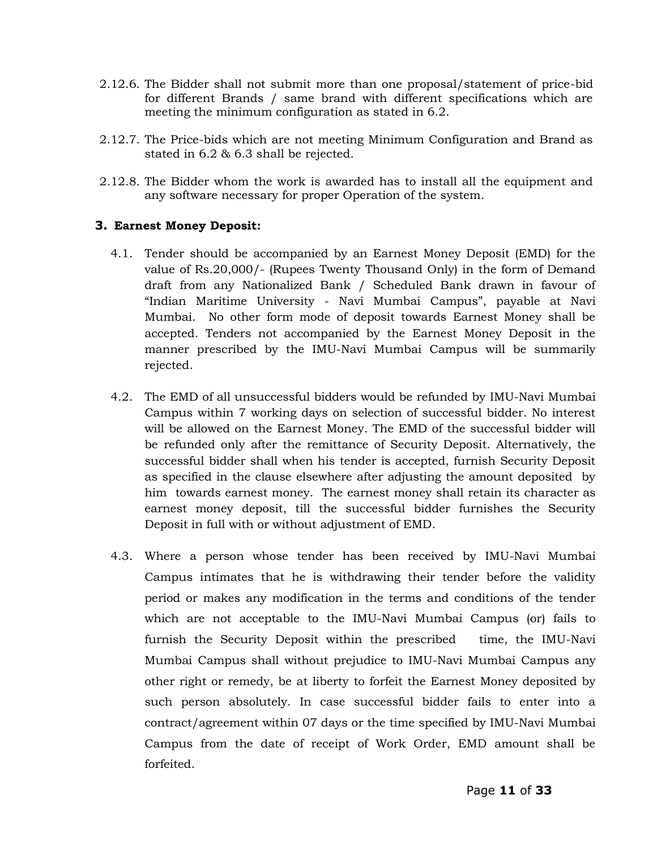- 2.12.6. The Bidder shall not submit more than one proposal/statement of price-bid for different Brands / same brand with different specifications which are meeting the minimum configuration as stated in 6.2.
- 2.12.7. The Price-bids which are not meeting Minimum Configuration and Brand as stated in 6.2 & 6.3 shall be rejected.
- 2.12.8. The Bidder whom the work is awarded has to install all the equipment and any software necessary for proper Operation of the system.

### **3. Earnest Money Deposit:**

- 4.1. Tender should be accompanied by an Earnest Money Deposit (EMD) for the value of Rs.20,000/- (Rupees Twenty Thousand Only) in the form of Demand draft from any Nationalized Bank / Scheduled Bank drawn in favour of "Indian Maritime University - Navi Mumbai Campus", payable at Navi Mumbai. No other form mode of deposit towards Earnest Money shall be accepted. Tenders not accompanied by the Earnest Money Deposit in the manner prescribed by the IMU-Navi Mumbai Campus will be summarily rejected.
- 4.2. The EMD of all unsuccessful bidders would be refunded by IMU-Navi Mumbai Campus within 7 working days on selection of successful bidder. No interest will be allowed on the Earnest Money. The EMD of the successful bidder will be refunded only after the remittance of Security Deposit. Alternatively, the successful bidder shall when his tender is accepted, furnish Security Deposit as specified in the clause elsewhere after adjusting the amount deposited by him towards earnest money. The earnest money shall retain its character as earnest money deposit, till the successful bidder furnishes the Security Deposit in full with or without adjustment of EMD.
- 4.3. Where a person whose tender has been received by IMU-Navi Mumbai Campus intimates that he is withdrawing their tender before the validity period or makes any modification in the terms and conditions of the tender which are not acceptable to the IMU-Navi Mumbai Campus (or) fails to furnish the Security Deposit within the prescribed time, the IMU-Navi Mumbai Campus shall without prejudice to IMU-Navi Mumbai Campus any other right or remedy, be at liberty to forfeit the Earnest Money deposited by such person absolutely. In case successful bidder fails to enter into a contract/agreement within 07 days or the time specified by IMU-Navi Mumbai Campus from the date of receipt of Work Order, EMD amount shall be forfeited.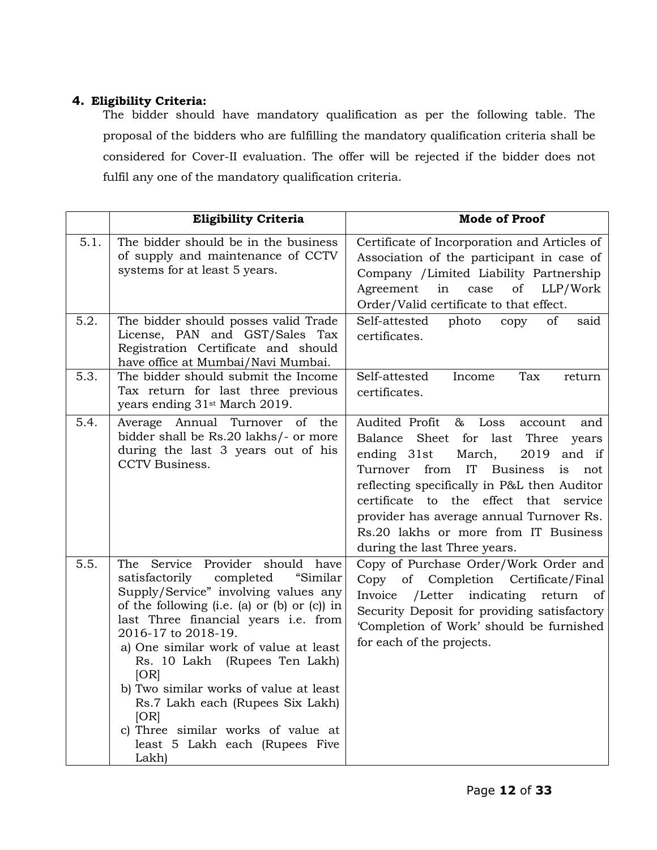# **4. Eligibility Criteria:**

The bidder should have mandatory qualification as per the following table. The proposal of the bidders who are fulfilling the mandatory qualification criteria shall be considered for Cover-II evaluation. The offer will be rejected if the bidder does not fulfil any one of the mandatory qualification criteria.

|      | <b>Eligibility Criteria</b>                                                                                                                                                                                                                                                                                                                                                                                                                                                                   | <b>Mode of Proof</b>                                                                                                                                                                                                                                                                                                                                                                     |
|------|-----------------------------------------------------------------------------------------------------------------------------------------------------------------------------------------------------------------------------------------------------------------------------------------------------------------------------------------------------------------------------------------------------------------------------------------------------------------------------------------------|------------------------------------------------------------------------------------------------------------------------------------------------------------------------------------------------------------------------------------------------------------------------------------------------------------------------------------------------------------------------------------------|
| 5.1. | The bidder should be in the business<br>of supply and maintenance of CCTV<br>systems for at least 5 years.                                                                                                                                                                                                                                                                                                                                                                                    | Certificate of Incorporation and Articles of<br>Association of the participant in case of<br>Company /Limited Liability Partnership<br>Agreement in case<br>of<br>LLP/Work<br>Order/Valid certificate to that effect.                                                                                                                                                                    |
| 5.2. | The bidder should posses valid Trade<br>License, PAN and GST/Sales Tax<br>Registration Certificate and should<br>have office at Mumbai/Navi Mumbai.                                                                                                                                                                                                                                                                                                                                           | Self-attested<br>photo<br>copy<br>of<br>said<br>certificates.                                                                                                                                                                                                                                                                                                                            |
| 5.3. | The bidder should submit the Income<br>Tax return for last three previous<br>years ending 31 <sup>st</sup> March 2019.                                                                                                                                                                                                                                                                                                                                                                        | Self-attested<br>Income<br>Tax<br>return<br>certificates.                                                                                                                                                                                                                                                                                                                                |
| 5.4. | Average Annual Turnover of the<br>bidder shall be Rs.20 lakhs/- or more<br>during the last 3 years out of his<br>CCTV Business.                                                                                                                                                                                                                                                                                                                                                               | Audited Profit<br>& Loss<br>account<br>and<br>Balance<br>Sheet for last Three years<br>ending 31st<br>2019 and if<br>March,<br>Turnover from<br>IT<br>Business<br>is<br>not<br>reflecting specifically in P&L then Auditor<br>certificate to the effect that service<br>provider has average annual Turnover Rs.<br>Rs.20 lakhs or more from IT Business<br>during the last Three years. |
| 5.5. | The Service Provider should have<br>"Similar<br>satisfactorily completed<br>Supply/Service" involving values any<br>of the following $(i.e. (a)$ or $(b)$ or $(c)$ in<br>last Three financial years i.e. from<br>2016-17 to 2018-19.<br>a) One similar work of value at least<br>Rs. 10 Lakh (Rupees Ten Lakh)<br>[OR]<br>b) Two similar works of value at least<br>Rs.7 Lakh each (Rupees Six Lakh)<br>[OR]<br>c) Three similar works of value at<br>least 5 Lakh each (Rupees Five<br>Lakh) | Copy of Purchase Order/Work Order and<br>Copy of Completion Certificate/Final<br>Invoice /Letter indicating return of<br>Security Deposit for providing satisfactory<br>'Completion of Work' should be furnished<br>for each of the projects.                                                                                                                                            |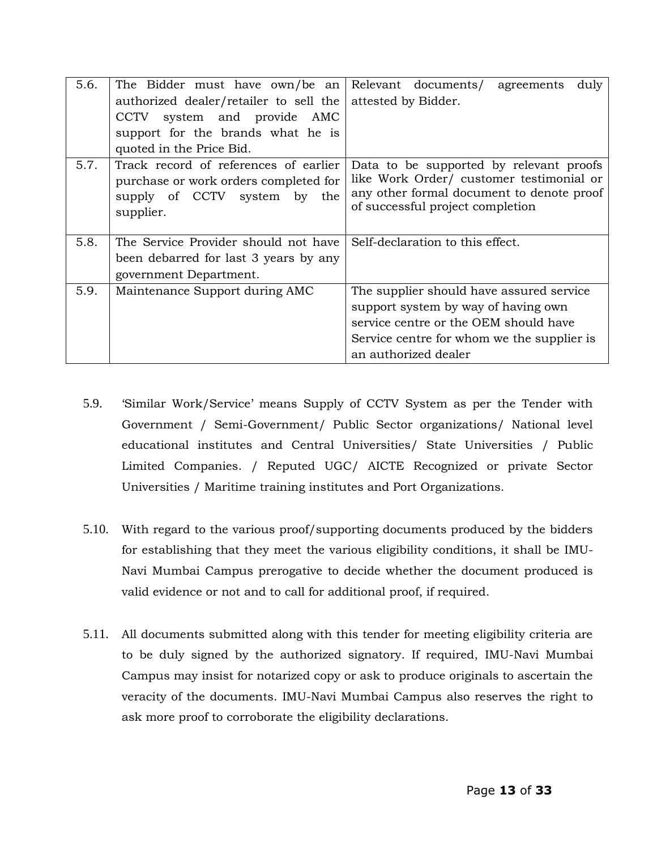| 5.6. | The Bidder must have $own/be$ an Relevant documents agreements | duly                                       |
|------|----------------------------------------------------------------|--------------------------------------------|
|      | authorized dealer/retailer to sell the attested by Bidder.     |                                            |
|      | CCTV system and provide AMC                                    |                                            |
|      | support for the brands what he is                              |                                            |
|      | quoted in the Price Bid.                                       |                                            |
| 5.7. | Track record of references of earlier                          | Data to be supported by relevant proofs    |
|      | purchase or work orders completed for                          | like Work Order/ customer testimonial or   |
|      | supply of CCTV system by the                                   | any other formal document to denote proof  |
|      | supplier.                                                      | of successful project completion           |
|      |                                                                |                                            |
| 5.8. | The Service Provider should not have                           | Self-declaration to this effect.           |
|      | been debarred for last 3 years by any                          |                                            |
|      | government Department.                                         |                                            |
| 5.9. | Maintenance Support during AMC                                 | The supplier should have assured service   |
|      |                                                                | support system by way of having own        |
|      |                                                                | service centre or the OEM should have      |
|      |                                                                | Service centre for whom we the supplier is |
|      |                                                                | an authorized dealer                       |

- 5.9. "Similar Work/Service" means Supply of CCTV System as per the Tender with Government / Semi-Government/ Public Sector organizations/ National level educational institutes and Central Universities/ State Universities / Public Limited Companies. / Reputed UGC/ AICTE Recognized or private Sector Universities / Maritime training institutes and Port Organizations.
- 5.10. With regard to the various proof/supporting documents produced by the bidders for establishing that they meet the various eligibility conditions, it shall be IMU-Navi Mumbai Campus prerogative to decide whether the document produced is valid evidence or not and to call for additional proof, if required.
- 5.11. All documents submitted along with this tender for meeting eligibility criteria are to be duly signed by the authorized signatory. If required, IMU-Navi Mumbai Campus may insist for notarized copy or ask to produce originals to ascertain the veracity of the documents. IMU-Navi Mumbai Campus also reserves the right to ask more proof to corroborate the eligibility declarations.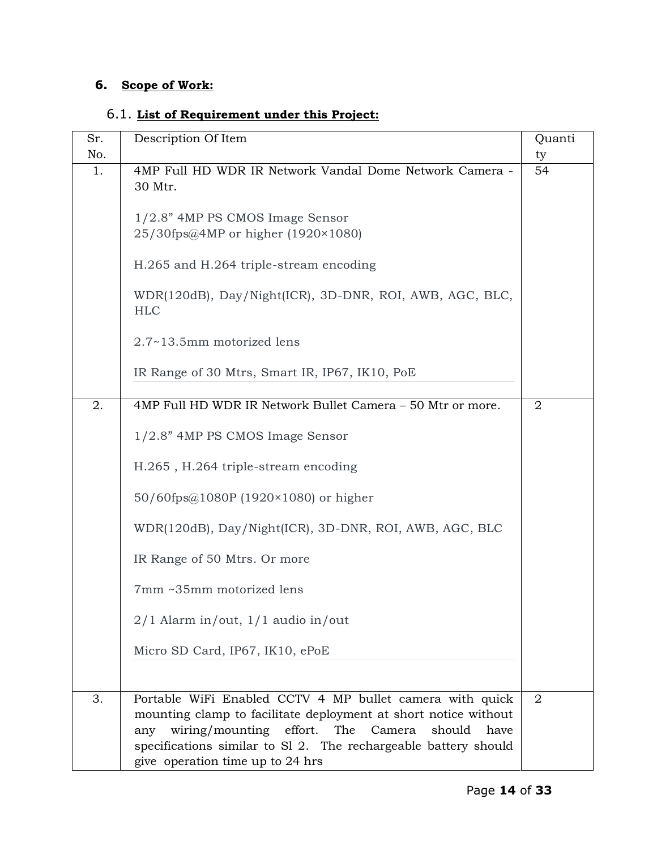# **6. Scope of Work:**

# 6.1. **List of Requirement under this Project:**

| Sr. | Description Of Item                                                                                                                                                                                                                                                                                                                                                             | Quanti         |
|-----|---------------------------------------------------------------------------------------------------------------------------------------------------------------------------------------------------------------------------------------------------------------------------------------------------------------------------------------------------------------------------------|----------------|
| No. |                                                                                                                                                                                                                                                                                                                                                                                 | ty             |
| 1.  | 4MP Full HD WDR IR Network Vandal Dome Network Camera -<br>30 Mtr.<br>1/2.8" 4MP PS CMOS Image Sensor<br>25/30fps@4MP or higher (1920×1080)<br>H.265 and H.264 triple-stream encoding<br>WDR(120dB), Day/Night(ICR), 3D-DNR, ROI, AWB, AGC, BLC,<br><b>HLC</b><br>2.7~13.5mm motorized lens<br>IR Range of 30 Mtrs, Smart IR, IP67, IK10, PoE                                   | 54             |
|     |                                                                                                                                                                                                                                                                                                                                                                                 |                |
| 2.  | 4MP Full HD WDR IR Network Bullet Camera - 50 Mtr or more.<br>1/2.8" 4MP PS CMOS Image Sensor<br>H.265, H.264 triple-stream encoding<br>50/60fps@1080P (1920×1080) or higher<br>WDR(120dB), Day/Night(ICR), 3D-DNR, ROI, AWB, AGC, BLC<br>IR Range of 50 Mtrs. Or more<br>7mm ~35mm motorized lens<br>$2/1$ Alarm in/out, $1/1$ audio in/out<br>Micro SD Card, IP67, IK10, ePoE | $\overline{2}$ |
| 3.  | Portable WiFi Enabled CCTV 4 MP bullet camera with quick<br>mounting clamp to facilitate deployment at short notice without<br>wiring/mounting effort.<br>The<br>Camera<br>should<br>have<br>any<br>specifications similar to Sl 2. The rechargeable battery should<br>give operation time up to 24 hrs                                                                         | 2              |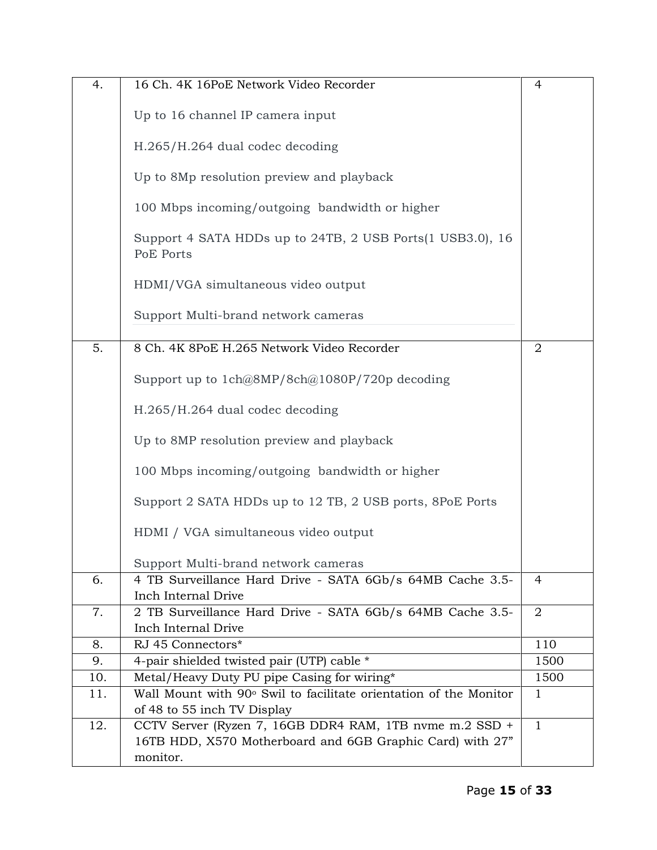| 4.  | 16 Ch. 4K 16PoE Network Video Recorder                                 | $\overline{4}$ |
|-----|------------------------------------------------------------------------|----------------|
|     | Up to 16 channel IP camera input                                       |                |
|     | H.265/H.264 dual codec decoding                                        |                |
|     | Up to 8Mp resolution preview and playback                              |                |
|     | 100 Mbps incoming/outgoing bandwidth or higher                         |                |
|     | Support 4 SATA HDDs up to 24TB, 2 USB Ports(1 USB3.0), 16<br>PoE Ports |                |
|     | HDMI/VGA simultaneous video output                                     |                |
|     | Support Multi-brand network cameras                                    |                |
|     |                                                                        |                |
| 5.  | 8 Ch. 4K 8PoE H.265 Network Video Recorder                             | $\overline{2}$ |
|     | Support up to 1ch@8MP/8ch@1080P/720p decoding                          |                |
|     | H.265/H.264 dual codec decoding                                        |                |
|     | Up to 8MP resolution preview and playback                              |                |
|     | 100 Mbps incoming/outgoing bandwidth or higher                         |                |
|     | Support 2 SATA HDDs up to 12 TB, 2 USB ports, 8PoE Ports               |                |
|     | HDMI / VGA simultaneous video output                                   |                |
|     | Support Multi-brand network cameras                                    |                |
| 6.  | 4 TB Surveillance Hard Drive - SATA 6Gb/s 64MB Cache 3.5-              | $\overline{4}$ |
|     | Inch Internal Drive                                                    |                |
| 7.  | 2 TB Surveillance Hard Drive - SATA 6Gb/s 64MB Cache 3.5-              | $\overline{2}$ |
|     | Inch Internal Drive                                                    |                |
| 8.  | RJ 45 Connectors*                                                      | 110            |
| 9.  | 4-pair shielded twisted pair (UTP) cable *                             | 1500           |
| 10. | Metal/Heavy Duty PU pipe Casing for wiring*                            | 1500           |
| 11. | Wall Mount with 90° Swil to facilitate orientation of the Monitor      | 1              |
|     | of 48 to 55 inch TV Display                                            |                |
| 12. | CCTV Server (Ryzen 7, 16GB DDR4 RAM, 1TB nvme m.2 SSD +                | $\mathbf{1}$   |
|     | 16TB HDD, X570 Motherboard and 6GB Graphic Card) with 27"              |                |
|     | monitor.                                                               |                |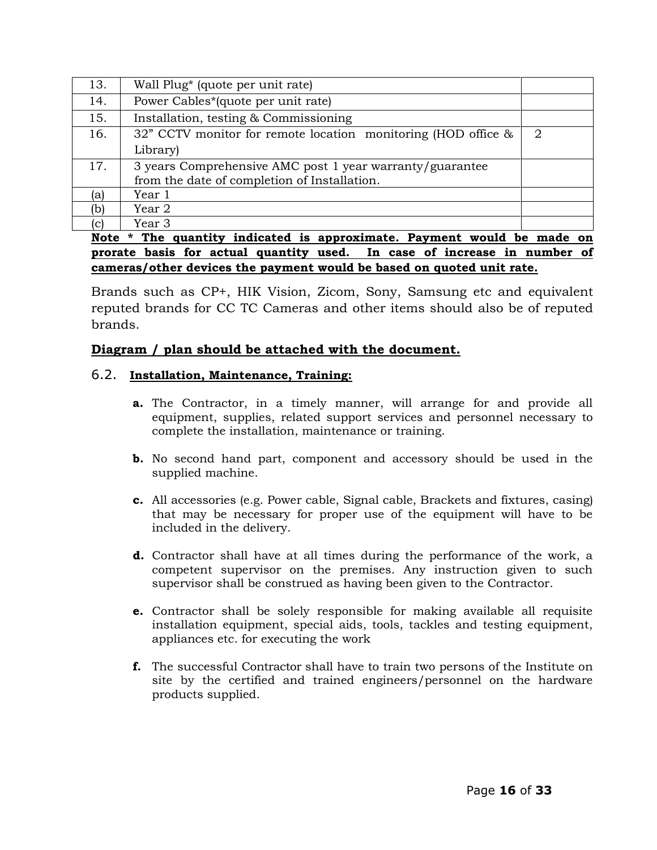| 13.       | Wall Plug* (quote per unit rate)                              |   |
|-----------|---------------------------------------------------------------|---|
| 14.       | Power Cables*(quote per unit rate)                            |   |
| 15.       | Installation, testing & Commissioning                         |   |
| 16.       | 32" CCTV monitor for remote location monitoring (HOD office & | 2 |
|           | Library)                                                      |   |
| 17.       | 3 years Comprehensive AMC post 1 year warranty/guarantee      |   |
|           | from the date of completion of Installation.                  |   |
| lal       | Year 1                                                        |   |
| (b)       | Year 2                                                        |   |
|           | Year 3                                                        |   |
| <b>BE</b> |                                                               |   |

### **Note \* The quantity indicated is approximate. Payment would be made on prorate basis for actual quantity used. In case of increase in number of cameras/other devices the payment would be based on quoted unit rate.**

Brands such as CP+, HIK Vision, Zicom, Sony, Samsung etc and equivalent reputed brands for CC TC Cameras and other items should also be of reputed brands.

# **Diagram / plan should be attached with the document.**

# 6.2. **Installation, Maintenance, Training:**

- **a.** The Contractor, in a timely manner, will arrange for and provide all equipment, supplies, related support services and personnel necessary to complete the installation, maintenance or training.
- **b.** No second hand part, component and accessory should be used in the supplied machine.
- **c.** All accessories (e.g. Power cable, Signal cable, Brackets and fixtures, casing) that may be necessary for proper use of the equipment will have to be included in the delivery.
- **d.** Contractor shall have at all times during the performance of the work, a competent supervisor on the premises. Any instruction given to such supervisor shall be construed as having been given to the Contractor.
- **e.** Contractor shall be solely responsible for making available all requisite installation equipment, special aids, tools, tackles and testing equipment, appliances etc. for executing the work
- **f.** The successful Contractor shall have to train two persons of the Institute on site by the certified and trained engineers/personnel on the hardware products supplied.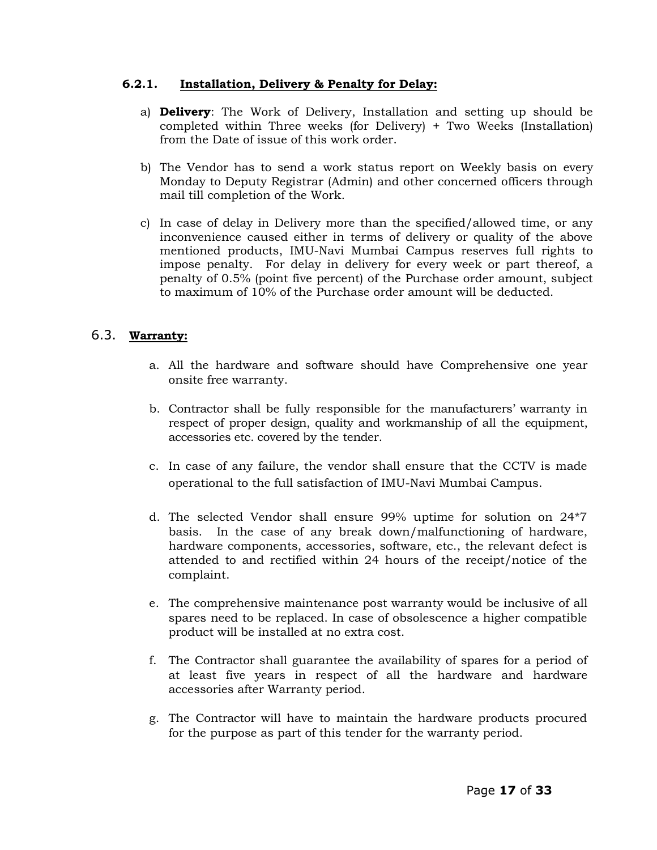### **6.2.1. Installation, Delivery & Penalty for Delay:**

- a) **Delivery**: The Work of Delivery, Installation and setting up should be completed within Three weeks (for Delivery) + Two Weeks (Installation) from the Date of issue of this work order.
- b) The Vendor has to send a work status report on Weekly basis on every Monday to Deputy Registrar (Admin) and other concerned officers through mail till completion of the Work.
- c) In case of delay in Delivery more than the specified/allowed time, or any inconvenience caused either in terms of delivery or quality of the above mentioned products, IMU-Navi Mumbai Campus reserves full rights to impose penalty. For delay in delivery for every week or part thereof, a penalty of 0.5% (point five percent) of the Purchase order amount, subject to maximum of 10% of the Purchase order amount will be deducted.

# 6.3. **Warranty:**

- a. All the hardware and software should have Comprehensive one year onsite free warranty.
- b. Contractor shall be fully responsible for the manufacturers" warranty in respect of proper design, quality and workmanship of all the equipment, accessories etc. covered by the tender.
- c. In case of any failure, the vendor shall ensure that the CCTV is made operational to the full satisfaction of IMU-Navi Mumbai Campus.
- d. The selected Vendor shall ensure 99% uptime for solution on 24\*7 basis. In the case of any break down/malfunctioning of hardware, hardware components, accessories, software, etc., the relevant defect is attended to and rectified within 24 hours of the receipt/notice of the complaint.
- e. The comprehensive maintenance post warranty would be inclusive of all spares need to be replaced. In case of obsolescence a higher compatible product will be installed at no extra cost.
- f. The Contractor shall guarantee the availability of spares for a period of at least five years in respect of all the hardware and hardware accessories after Warranty period.
- g. The Contractor will have to maintain the hardware products procured for the purpose as part of this tender for the warranty period.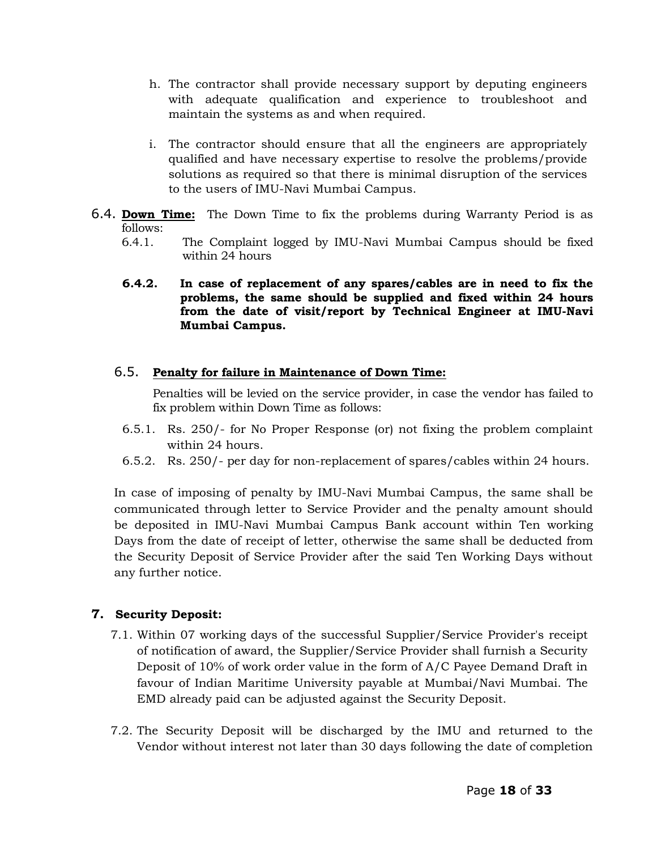- h. The contractor shall provide necessary support by deputing engineers with adequate qualification and experience to troubleshoot and maintain the systems as and when required.
- i. The contractor should ensure that all the engineers are appropriately qualified and have necessary expertise to resolve the problems/provide solutions as required so that there is minimal disruption of the services to the users of IMU-Navi Mumbai Campus.
- 6.4. **Down Time:** The Down Time to fix the problems during Warranty Period is as follows:
	- 6.4.1. The Complaint logged by IMU-Navi Mumbai Campus should be fixed within 24 hours
	- **6.4.2. In case of replacement of any spares/cables are in need to fix the problems, the same should be supplied and fixed within 24 hours from the date of visit/report by Technical Engineer at IMU-Navi Mumbai Campus.**

### 6.5. **Penalty for failure in Maintenance of Down Time:**

Penalties will be levied on the service provider, in case the vendor has failed to fix problem within Down Time as follows:

- 6.5.1. Rs. 250/- for No Proper Response (or) not fixing the problem complaint within 24 hours.
- 6.5.2. Rs. 250/- per day for non-replacement of spares/cables within 24 hours.

In case of imposing of penalty by IMU-Navi Mumbai Campus, the same shall be communicated through letter to Service Provider and the penalty amount should be deposited in IMU-Navi Mumbai Campus Bank account within Ten working Days from the date of receipt of letter, otherwise the same shall be deducted from the Security Deposit of Service Provider after the said Ten Working Days without any further notice.

# **7. Security Deposit:**

- 7.1. Within 07 working days of the successful Supplier/Service Provider's receipt of notification of award, the Supplier/Service Provider shall furnish a Security Deposit of 10% of work order value in the form of A/C Payee Demand Draft in favour of Indian Maritime University payable at Mumbai/Navi Mumbai. The EMD already paid can be adjusted against the Security Deposit.
- 7.2. The Security Deposit will be discharged by the IMU and returned to the Vendor without interest not later than 30 days following the date of completion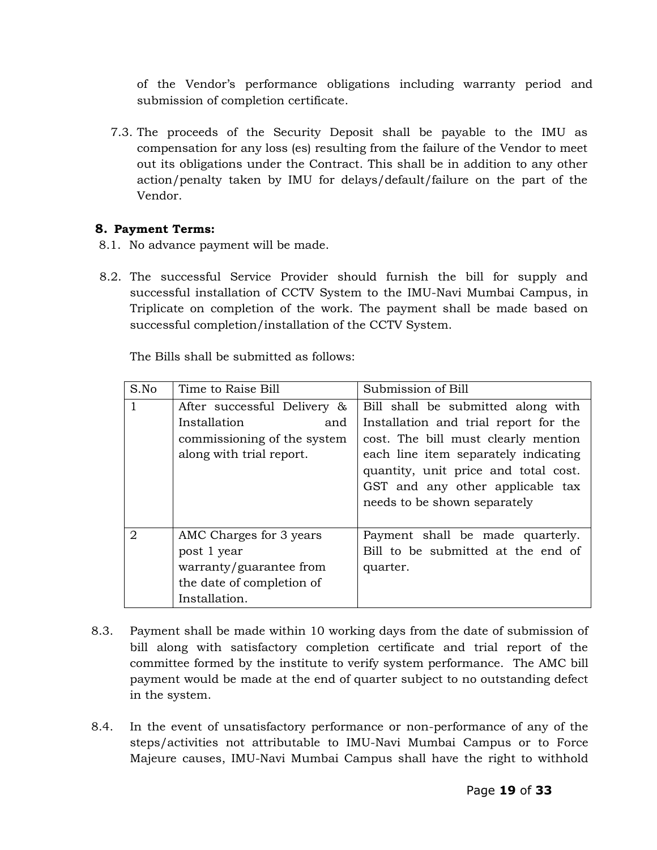of the Vendor"s performance obligations including warranty period and submission of completion certificate.

7.3. The proceeds of the Security Deposit shall be payable to the IMU as compensation for any loss (es) resulting from the failure of the Vendor to meet out its obligations under the Contract. This shall be in addition to any other action/penalty taken by IMU for delays/default/failure on the part of the Vendor.

# **8. Payment Terms:**

- 8.1. No advance payment will be made.
- 8.2. The successful Service Provider should furnish the bill for supply and successful installation of CCTV System to the IMU-Navi Mumbai Campus, in Triplicate on completion of the work. The payment shall be made based on successful completion/installation of the CCTV System.

The Bills shall be submitted as follows:

| S.No         | Time to Raise Bill          | Submission of Bill                    |  |
|--------------|-----------------------------|---------------------------------------|--|
| $\mathbf{1}$ | After successful Delivery & | Bill shall be submitted along with    |  |
|              | Installation<br>and         | Installation and trial report for the |  |
|              | commissioning of the system | cost. The bill must clearly mention   |  |
|              | along with trial report.    | each line item separately indicating  |  |
|              |                             | quantity, unit price and total cost.  |  |
|              |                             | GST and any other applicable tax      |  |
|              |                             | needs to be shown separately          |  |
|              |                             |                                       |  |
| 2            | AMC Charges for 3 years     | Payment shall be made quarterly.      |  |
|              | post 1 year                 | Bill to be submitted at the end of    |  |
|              | warranty/guarantee from     | quarter.                              |  |
|              | the date of completion of   |                                       |  |
|              | Installation.               |                                       |  |

- 8.3. Payment shall be made within 10 working days from the date of submission of bill along with satisfactory completion certificate and trial report of the committee formed by the institute to verify system performance. The AMC bill payment would be made at the end of quarter subject to no outstanding defect in the system.
- 8.4. In the event of unsatisfactory performance or non-performance of any of the steps/activities not attributable to IMU-Navi Mumbai Campus or to Force Majeure causes, IMU-Navi Mumbai Campus shall have the right to withhold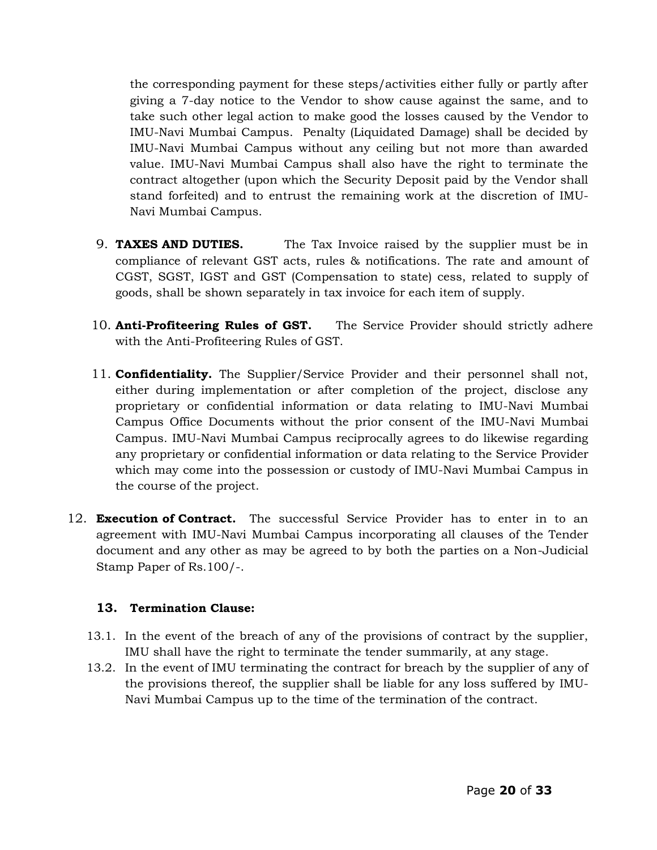the corresponding payment for these steps/activities either fully or partly after giving a 7-day notice to the Vendor to show cause against the same, and to take such other legal action to make good the losses caused by the Vendor to IMU-Navi Mumbai Campus. Penalty (Liquidated Damage) shall be decided by IMU-Navi Mumbai Campus without any ceiling but not more than awarded value. IMU-Navi Mumbai Campus shall also have the right to terminate the contract altogether (upon which the Security Deposit paid by the Vendor shall stand forfeited) and to entrust the remaining work at the discretion of IMU-Navi Mumbai Campus.

- 9. **TAXES AND DUTIES.** The Tax Invoice raised by the supplier must be in compliance of relevant GST acts, rules & notifications. The rate and amount of CGST, SGST, IGST and GST (Compensation to state) cess, related to supply of goods, shall be shown separately in tax invoice for each item of supply.
- 10. **Anti-Profiteering Rules of GST.** The Service Provider should strictly adhere with the Anti-Profiteering Rules of GST.
- 11. **Confidentiality.** The Supplier/Service Provider and their personnel shall not, either during implementation or after completion of the project, disclose any proprietary or confidential information or data relating to IMU-Navi Mumbai Campus Office Documents without the prior consent of the IMU-Navi Mumbai Campus. IMU-Navi Mumbai Campus reciprocally agrees to do likewise regarding any proprietary or confidential information or data relating to the Service Provider which may come into the possession or custody of IMU-Navi Mumbai Campus in the course of the project.
- 12. **Execution of Contract.** The successful Service Provider has to enter in to an agreement with IMU-Navi Mumbai Campus incorporating all clauses of the Tender document and any other as may be agreed to by both the parties on a Non-Judicial Stamp Paper of Rs.100/-.

# **13. Termination Clause:**

- 13.1. In the event of the breach of any of the provisions of contract by the supplier, IMU shall have the right to terminate the tender summarily, at any stage.
- 13.2. In the event of IMU terminating the contract for breach by the supplier of any of the provisions thereof, the supplier shall be liable for any loss suffered by IMU-Navi Mumbai Campus up to the time of the termination of the contract.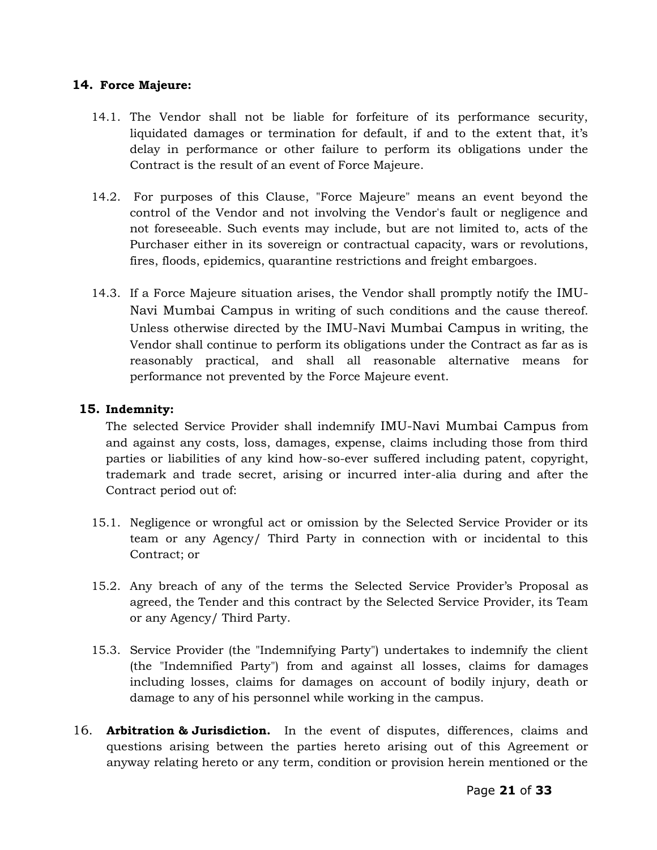### **14. Force Majeure:**

- 14.1. The Vendor shall not be liable for forfeiture of its performance security, liquidated damages or termination for default, if and to the extent that, it's delay in performance or other failure to perform its obligations under the Contract is the result of an event of Force Majeure.
- 14.2. For purposes of this Clause, "Force Majeure" means an event beyond the control of the Vendor and not involving the Vendor's fault or negligence and not foreseeable. Such events may include, but are not limited to, acts of the Purchaser either in its sovereign or contractual capacity, wars or revolutions, fires, floods, epidemics, quarantine restrictions and freight embargoes.
- 14.3. If a Force Majeure situation arises, the Vendor shall promptly notify the IMU-Navi Mumbai Campus in writing of such conditions and the cause thereof. Unless otherwise directed by the IMU-Navi Mumbai Campus in writing, the Vendor shall continue to perform its obligations under the Contract as far as is reasonably practical, and shall all reasonable alternative means for performance not prevented by the Force Majeure event.

### **15. Indemnity:**

The selected Service Provider shall indemnify IMU-Navi Mumbai Campus from and against any costs, loss, damages, expense, claims including those from third parties or liabilities of any kind how-so-ever suffered including patent, copyright, trademark and trade secret, arising or incurred inter-alia during and after the Contract period out of:

- 15.1. Negligence or wrongful act or omission by the Selected Service Provider or its team or any Agency/ Third Party in connection with or incidental to this Contract; or
- 15.2. Any breach of any of the terms the Selected Service Provider"s Proposal as agreed, the Tender and this contract by the Selected Service Provider, its Team or any Agency/ Third Party.
- 15.3. Service Provider (the "Indemnifying Party") undertakes to indemnify the client (the "Indemnified Party") from and against all losses, claims for damages including losses, claims for damages on account of bodily injury, death or damage to any of his personnel while working in the campus.
- 16. **Arbitration & Jurisdiction.** In the event of disputes, differences, claims and questions arising between the parties hereto arising out of this Agreement or anyway relating hereto or any term, condition or provision herein mentioned or the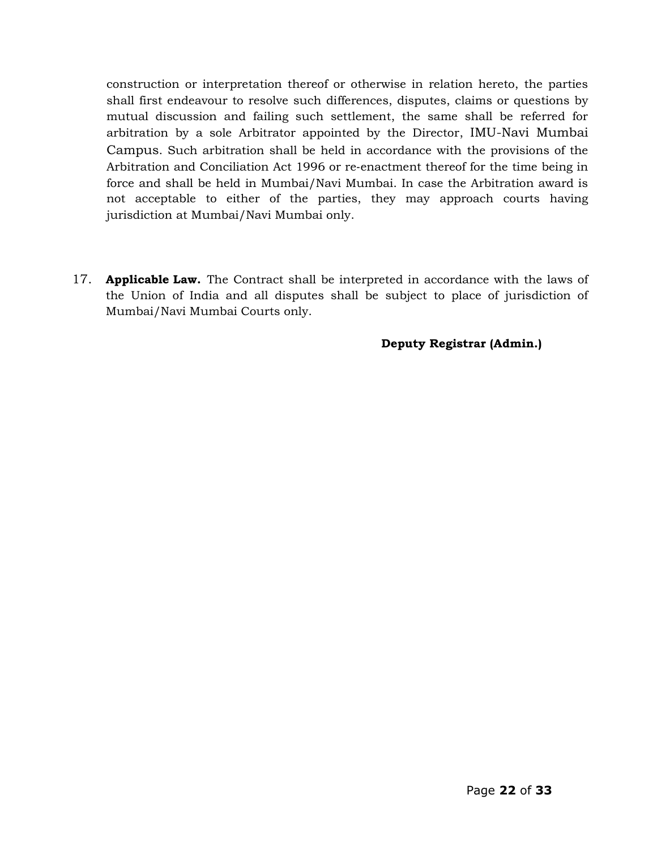construction or interpretation thereof or otherwise in relation hereto, the parties shall first endeavour to resolve such differences, disputes, claims or questions by mutual discussion and failing such settlement, the same shall be referred for arbitration by a sole Arbitrator appointed by the Director, IMU-Navi Mumbai Campus. Such arbitration shall be held in accordance with the provisions of the Arbitration and Conciliation Act 1996 or re‐enactment thereof for the time being in force and shall be held in Mumbai/Navi Mumbai. In case the Arbitration award is not acceptable to either of the parties, they may approach courts having jurisdiction at Mumbai/Navi Mumbai only.

17. **Applicable Law.** The Contract shall be interpreted in accordance with the laws of the Union of India and all disputes shall be subject to place of jurisdiction of Mumbai/Navi Mumbai Courts only.

### **Deputy Registrar (Admin.)**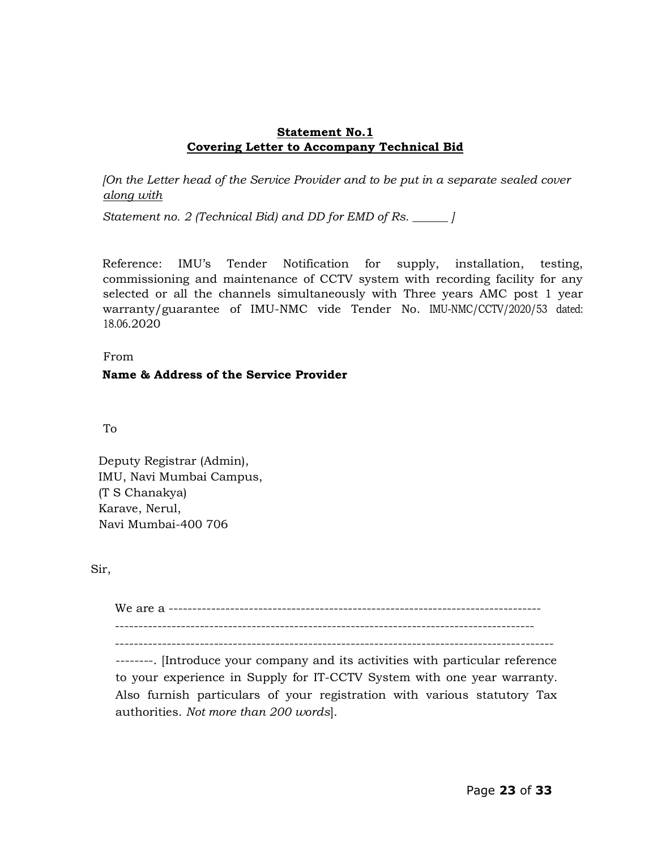### **Statement No.1 Covering Letter to Accompany Technical Bid**

*[On the Letter head of the Service Provider and to be put in a separate sealed cover along with*

*Statement no. 2 (Technical Bid) and DD for EMD of Rs. \_\_\_\_\_\_ ]* 

Reference: IMU's Tender Notification for supply, installation, testing, commissioning and maintenance of CCTV system with recording facility for any selected or all the channels simultaneously with Three years AMC post 1 year warranty/guarantee of IMU-NMC vide Tender No. IMU-NMC/CCTV/2020/53 dated: 18.06.2020

From

# **Name & Address of the Service Provider**

To

Deputy Registrar (Admin), IMU, Navi Mumbai Campus, (T S Chanakya) Karave, Nerul, Navi Mumbai-400 706

Sir,

We are a ------------------------------------------------------------------------------- -----------------------------------------------------------------------------------------

---------------------------------------------------------------------------------------------

--------. [Introduce your company and its activities with particular reference to your experience in Supply for IT-CCTV System with one year warranty*.*  Also furnish particulars of your registration with various statutory Tax authorities. *Not more than 200 words*].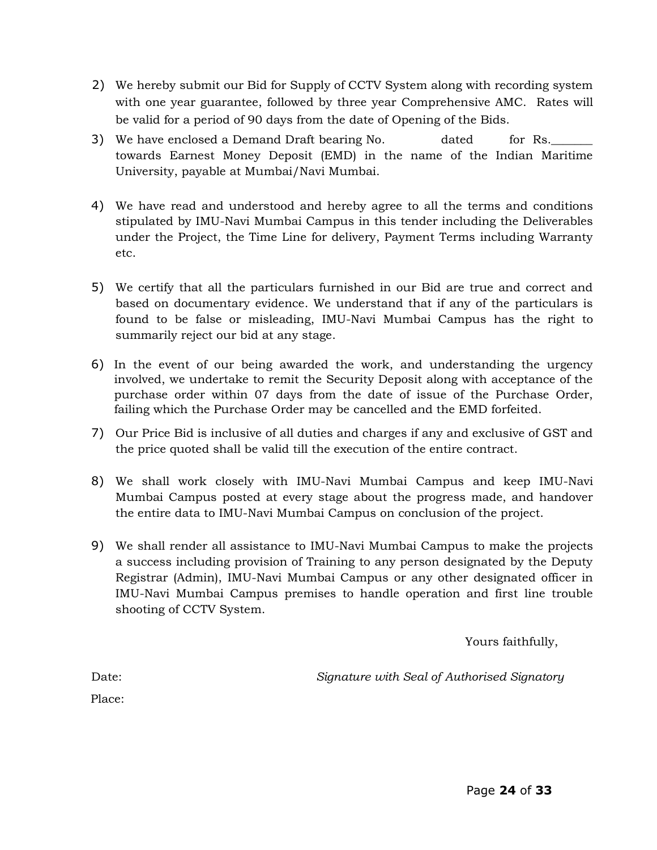- 2) We hereby submit our Bid for Supply of CCTV System along with recording system with one year guarantee, followed by three year Comprehensive AMC. Rates will be valid for a period of 90 days from the date of Opening of the Bids.
- 3) We have enclosed a Demand Draft bearing No. dated for Rs. towards Earnest Money Deposit (EMD) in the name of the Indian Maritime University, payable at Mumbai/Navi Mumbai.
- 4) We have read and understood and hereby agree to all the terms and conditions stipulated by IMU-Navi Mumbai Campus in this tender including the Deliverables under the Project, the Time Line for delivery, Payment Terms including Warranty etc.
- 5) We certify that all the particulars furnished in our Bid are true and correct and based on documentary evidence. We understand that if any of the particulars is found to be false or misleading, IMU-Navi Mumbai Campus has the right to summarily reject our bid at any stage.
- 6) In the event of our being awarded the work, and understanding the urgency involved, we undertake to remit the Security Deposit along with acceptance of the purchase order within 07 days from the date of issue of the Purchase Order, failing which the Purchase Order may be cancelled and the EMD forfeited.
- 7) Our Price Bid is inclusive of all duties and charges if any and exclusive of GST and the price quoted shall be valid till the execution of the entire contract.
- 8) We shall work closely with IMU-Navi Mumbai Campus and keep IMU-Navi Mumbai Campus posted at every stage about the progress made, and handover the entire data to IMU-Navi Mumbai Campus on conclusion of the project.
- 9) We shall render all assistance to IMU-Navi Mumbai Campus to make the projects a success including provision of Training to any person designated by the Deputy Registrar (Admin), IMU-Navi Mumbai Campus or any other designated officer in IMU-Navi Mumbai Campus premises to handle operation and first line trouble shooting of CCTV System.

Yours faithfully,

Date:*Signature with Seal of Authorised Signatory* 

Place: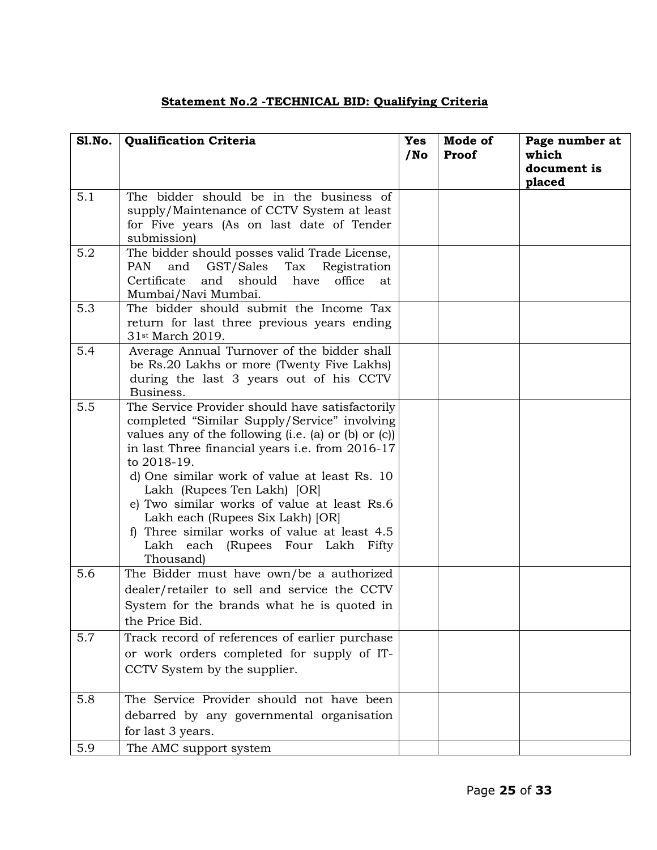# **Statement No.2 -TECHNICAL BID: Qualifying Criteria**

| <b>S1.No.</b> | <b>Qualification Criteria</b>                                                                                                                                                                                                                                                                                                                                                                                                                                                                        | <b>Yes</b><br>$/$ No | Mode of<br>Proof | Page number at<br>which<br>document is<br>placed |
|---------------|------------------------------------------------------------------------------------------------------------------------------------------------------------------------------------------------------------------------------------------------------------------------------------------------------------------------------------------------------------------------------------------------------------------------------------------------------------------------------------------------------|----------------------|------------------|--------------------------------------------------|
| 5.1           | The bidder should be in the business of<br>supply/Maintenance of CCTV System at least<br>for Five years (As on last date of Tender<br>submission)                                                                                                                                                                                                                                                                                                                                                    |                      |                  |                                                  |
| 5.2           | The bidder should posses valid Trade License,<br>GST/Sales Tax<br>PAN<br>and<br>Registration<br>Certificate<br>and should have<br>office<br>at.<br>Mumbai/Navi Mumbai.                                                                                                                                                                                                                                                                                                                               |                      |                  |                                                  |
| 5.3           | The bidder should submit the Income Tax<br>return for last three previous years ending<br>31 <sup>st</sup> March 2019.                                                                                                                                                                                                                                                                                                                                                                               |                      |                  |                                                  |
| 5.4           | Average Annual Turnover of the bidder shall<br>be Rs.20 Lakhs or more (Twenty Five Lakhs)<br>during the last 3 years out of his CCTV<br>Business.                                                                                                                                                                                                                                                                                                                                                    |                      |                  |                                                  |
| 5.5           | The Service Provider should have satisfactorily<br>completed "Similar Supply/Service" involving<br>values any of the following $(i.e. (a)$ or $(b)$ or $(c)$ )<br>in last Three financial years i.e. from 2016-17<br>to 2018-19.<br>d) One similar work of value at least Rs. 10<br>Lakh (Rupees Ten Lakh) [OR]<br>e) Two similar works of value at least Rs.6<br>Lakh each (Rupees Six Lakh) [OR]<br>f) Three similar works of value at least 4.5<br>Lakh each (Rupees Four Lakh Fifty<br>Thousand) |                      |                  |                                                  |
| 5.6           | The Bidder must have own/be a authorized<br>dealer/retailer to sell and service the CCTV<br>System for the brands what he is quoted in<br>the Price Bid.                                                                                                                                                                                                                                                                                                                                             |                      |                  |                                                  |
| 5.7           | Track record of references of earlier purchase<br>or work orders completed for supply of IT-<br>CCTV System by the supplier.                                                                                                                                                                                                                                                                                                                                                                         |                      |                  |                                                  |
| 5.8           | The Service Provider should not have been<br>debarred by any governmental organisation<br>for last 3 years.                                                                                                                                                                                                                                                                                                                                                                                          |                      |                  |                                                  |
| 5.9           | The AMC support system                                                                                                                                                                                                                                                                                                                                                                                                                                                                               |                      |                  |                                                  |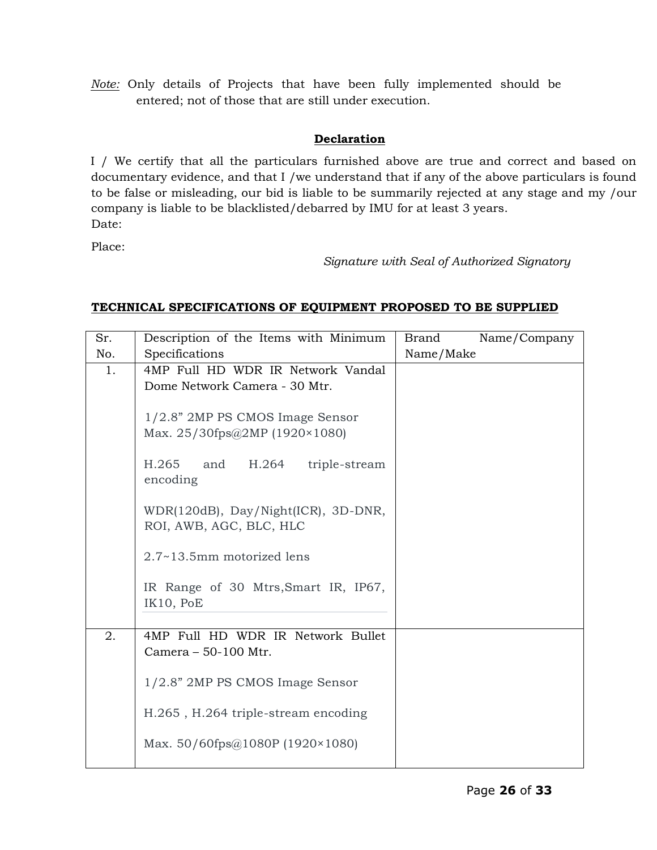*Note:* Only details of Projects that have been fully implemented should be entered; not of those that are still under execution.

# **Declaration**

I / We certify that all the particulars furnished above are true and correct and based on documentary evidence, and that I /we understand that if any of the above particulars is found to be false or misleading, our bid is liable to be summarily rejected at any stage and my /our company is liable to be blacklisted/debarred by IMU for at least 3 years. Date:

Place:

*Signature with Seal of Authorized Signatory*

# **TECHNICAL SPECIFICATIONS OF EQUIPMENT PROPOSED TO BE SUPPLIED**

| Sr. | Description of the Items with Minimum                          | Brand<br>Name/Company |
|-----|----------------------------------------------------------------|-----------------------|
| No. | Specifications                                                 | Name/Make             |
| 1.  | 4MP Full HD WDR IR Network Vandal                              |                       |
|     | Dome Network Camera - 30 Mtr.                                  |                       |
|     |                                                                |                       |
|     | 1/2.8" 2MP PS CMOS Image Sensor                                |                       |
|     | Max. $25/30$ fps@2MP (1920×1080)                               |                       |
|     |                                                                |                       |
|     | H.265<br>and<br>H.264 triple-stream                            |                       |
|     | encoding                                                       |                       |
|     |                                                                |                       |
|     | WDR(120dB), Day/Night(ICR), 3D-DNR,<br>ROI, AWB, AGC, BLC, HLC |                       |
|     |                                                                |                       |
|     | 2.7~13.5mm motorized lens                                      |                       |
|     |                                                                |                       |
|     | IR Range of 30 Mtrs, Smart IR, IP67,                           |                       |
|     | IK10, PoE                                                      |                       |
|     |                                                                |                       |
| 2.  | 4MP Full HD WDR IR Network Bullet                              |                       |
|     | Camera - 50-100 Mtr.                                           |                       |
|     |                                                                |                       |
|     | 1/2.8" 2MP PS CMOS Image Sensor                                |                       |
|     |                                                                |                       |
|     | H.265, H.264 triple-stream encoding                            |                       |
|     | Max. $50/60$ fps@1080P (1920×1080)                             |                       |
|     |                                                                |                       |
|     |                                                                |                       |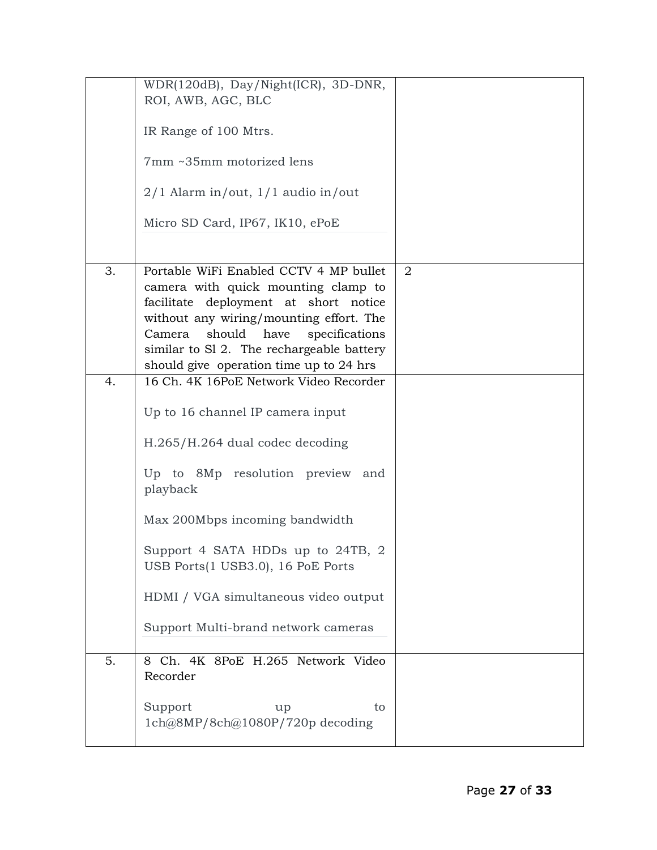|    | WDR(120dB), Day/Night(ICR), 3D-DNR,        |                |
|----|--------------------------------------------|----------------|
|    | ROI, AWB, AGC, BLC                         |                |
|    |                                            |                |
|    |                                            |                |
|    | IR Range of 100 Mtrs.                      |                |
|    |                                            |                |
|    | 7mm ~35mm motorized lens                   |                |
|    |                                            |                |
|    |                                            |                |
|    | $2/1$ Alarm in/out, $1/1$ audio in/out     |                |
|    |                                            |                |
|    | Micro SD Card, IP67, IK10, ePoE            |                |
|    |                                            |                |
|    |                                            |                |
|    |                                            |                |
| 3. | Portable WiFi Enabled CCTV 4 MP bullet     | $\overline{2}$ |
|    | camera with quick mounting clamp to        |                |
|    | facilitate deployment at short notice      |                |
|    | without any wiring/mounting effort. The    |                |
|    | should<br>have<br>specifications<br>Camera |                |
|    |                                            |                |
|    | similar to Sl 2. The rechargeable battery  |                |
|    | should give operation time up to 24 hrs    |                |
| 4. | 16 Ch. 4K 16PoE Network Video Recorder     |                |
|    |                                            |                |
|    |                                            |                |
|    | Up to 16 channel IP camera input           |                |
|    |                                            |                |
|    | H.265/H.264 dual codec decoding            |                |
|    |                                            |                |
|    | Up to 8Mp resolution preview<br>and        |                |
|    |                                            |                |
|    | playback                                   |                |
|    |                                            |                |
|    | Max 200Mbps incoming bandwidth             |                |
|    |                                            |                |
|    | Support 4 SATA HDDs up to 24TB, 2          |                |
|    | USB Ports(1 USB3.0), 16 PoE Ports          |                |
|    |                                            |                |
|    |                                            |                |
|    | HDMI / VGA simultaneous video output       |                |
|    |                                            |                |
|    | Support Multi-brand network cameras        |                |
|    |                                            |                |
|    |                                            |                |
| 5. | 8 Ch. 4K 8PoE H.265 Network Video          |                |
|    | Recorder                                   |                |
|    |                                            |                |
|    | Support<br>to<br>up                        |                |
|    |                                            |                |
|    | 1ch@8MP/8ch@1080P/720p decoding            |                |
|    |                                            |                |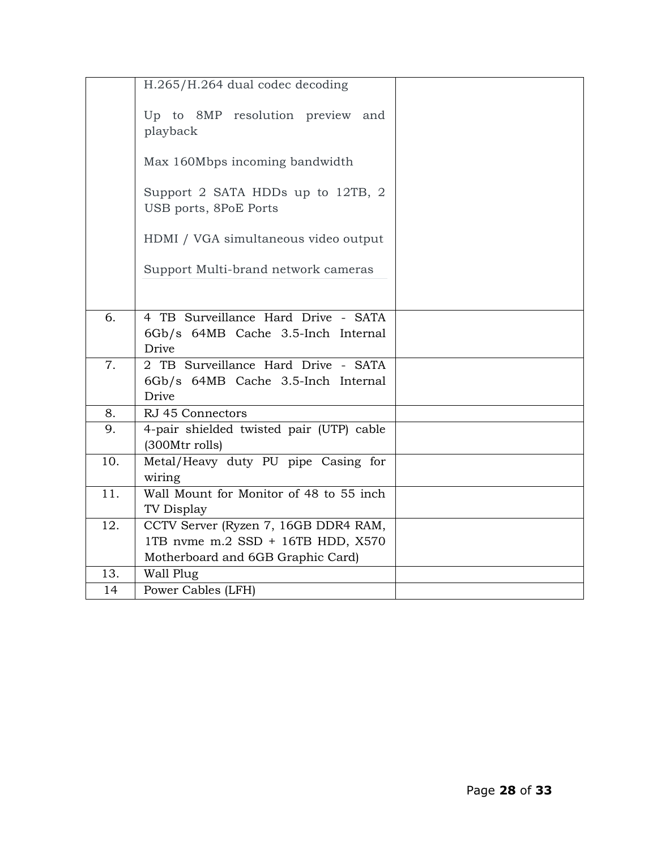|                   | H.265/H.264 dual codec decoding                            |  |
|-------------------|------------------------------------------------------------|--|
|                   | Up to 8MP resolution preview and<br>playback               |  |
|                   | Max 160Mbps incoming bandwidth                             |  |
|                   | Support 2 SATA HDDs up to 12TB, 2<br>USB ports, 8PoE Ports |  |
|                   | HDMI / VGA simultaneous video output                       |  |
|                   | Support Multi-brand network cameras                        |  |
|                   |                                                            |  |
| 6.                | 4 TB Surveillance Hard Drive - SATA                        |  |
|                   | 6Gb/s 64MB Cache 3.5-Inch Internal<br>Drive                |  |
| 7.                | 2 TB Surveillance Hard Drive - SATA                        |  |
|                   | 6Gb/s 64MB Cache 3.5-Inch Internal                         |  |
|                   | Drive                                                      |  |
| 8.                | RJ 45 Connectors                                           |  |
| 9.                | 4-pair shielded twisted pair (UTP) cable<br>(300Mtr rolls) |  |
| 10.               | Metal/Heavy duty PU pipe Casing for<br>wiring              |  |
| $\overline{11}$ . | Wall Mount for Monitor of 48 to 55 inch<br>TV Display      |  |
| 12.               | CCTV Server (Ryzen 7, 16GB DDR4 RAM,                       |  |
|                   | 1TB nvme m.2 SSD + 16TB HDD, X570                          |  |
|                   | Motherboard and 6GB Graphic Card)                          |  |
| 13.               | Wall Plug                                                  |  |
| 14                | Power Cables (LFH)                                         |  |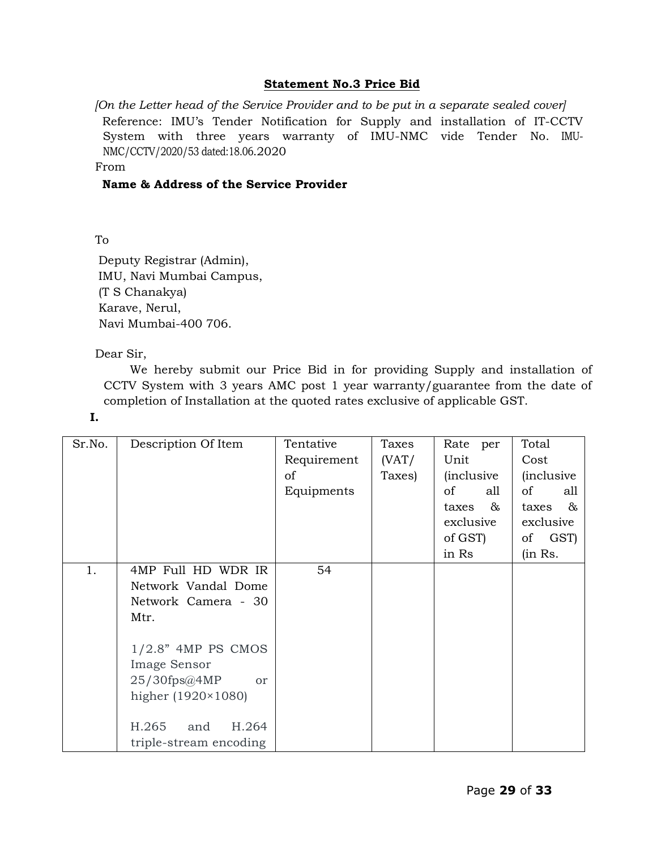### **Statement No.3 Price Bid**

*[On the Letter head of the Service Provider and to be put in a separate sealed cover]*  Reference: IMU"s Tender Notification for Supply and installation of IT-CCTV System with three years warranty of IMU-NMC vide Tender No. IMU-NMC/CCTV/2020/53 dated:18.06.2020

From

### **Name & Address of the Service Provider**

To

Deputy Registrar (Admin), IMU, Navi Mumbai Campus, (T S Chanakya) Karave, Nerul, Navi Mumbai-400 706.

### Dear Sir,

We hereby submit our Price Bid in for providing Supply and installation of CCTV System with 3 years AMC post 1 year warranty/guarantee from the date of completion of Installation at the quoted rates exclusive of applicable GST.

**I.**

| Sr.No. | Description Of Item         | Tentative   | Taxes  | Rate per           | Total              |
|--------|-----------------------------|-------------|--------|--------------------|--------------------|
|        |                             | Requirement | (VAT/  | Unit               | Cost               |
|        |                             | of          | Taxes) | <i>(inclusive)</i> | <i>(inclusive)</i> |
|        |                             | Equipments  |        | of<br>all          | of<br>all          |
|        |                             |             |        | $-\infty$<br>taxes | $-\infty$<br>taxes |
|        |                             |             |        | exclusive          | exclusive          |
|        |                             |             |        | of GST)            | of GST)            |
|        |                             |             |        | in Rs              | (in Rs.            |
| 1.     | 4MP Full HD WDR IR          | 54          |        |                    |                    |
|        | Network Vandal Dome         |             |        |                    |                    |
|        | Network Camera - 30         |             |        |                    |                    |
|        | Mtr.                        |             |        |                    |                    |
|        |                             |             |        |                    |                    |
|        | $1/2.8"$ 4MP PS CMOS        |             |        |                    |                    |
|        | Image Sensor                |             |        |                    |                    |
|        | 25/30fps@4MP<br>or          |             |        |                    |                    |
|        | higher $(1920 \times 1080)$ |             |        |                    |                    |
|        |                             |             |        |                    |                    |
|        | H.265<br>H.264<br>and       |             |        |                    |                    |
|        | triple-stream encoding      |             |        |                    |                    |
|        |                             |             |        |                    |                    |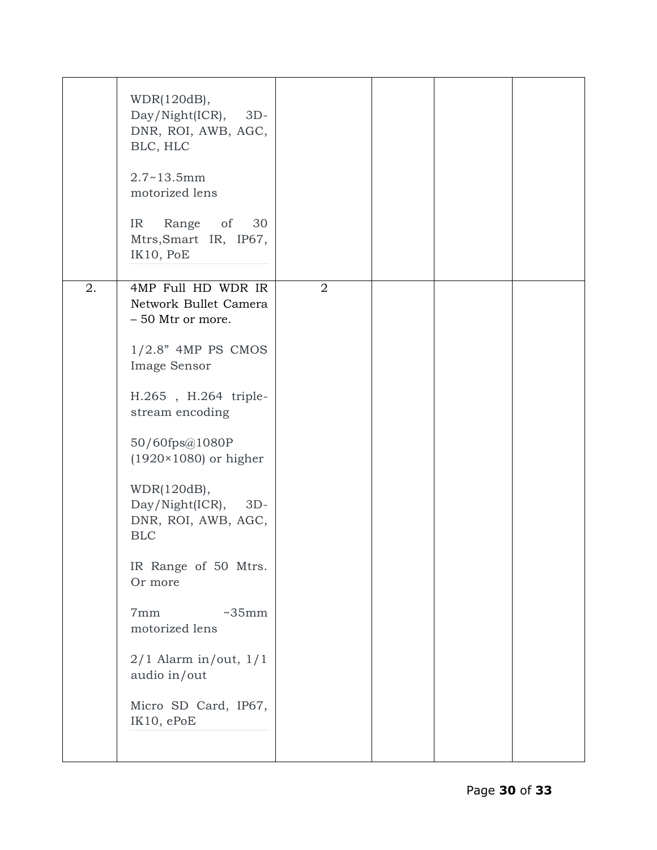|    | WDR(120dB),<br>$Day/Night(ICR), 3D-$<br>DNR, ROI, AWB, AGC,<br>BLC, HLC<br>$2.7 - 13.5$ mm<br>motorized lens<br>IR Range of 30<br>Mtrs, Smart IR, IP67,<br>IK10, PoE                                                                                                                                                                                                                                                                           |                |  |  |
|----|------------------------------------------------------------------------------------------------------------------------------------------------------------------------------------------------------------------------------------------------------------------------------------------------------------------------------------------------------------------------------------------------------------------------------------------------|----------------|--|--|
| 2. | 4MP Full HD WDR IR<br>Network Bullet Camera<br>- 50 Mtr or more.<br>$1/2.8$ " 4MP PS CMOS<br>Image Sensor<br>H.265, H.264 triple-<br>stream encoding<br>50/60fps@1080P<br>$(1920 \times 1080)$ or higher<br>WDR(120dB),<br>$Day/Night(ICR)$ , 3D-<br>DNR, ROI, AWB, AGC,<br><b>BLC</b><br>IR Range of 50 Mtrs.<br>Or more<br>7mm<br>~55mm<br>motorized lens<br>$2/1$ Alarm in/out, $1/1$<br>audio in/out<br>Micro SD Card, IP67,<br>IK10, ePoE | $\overline{2}$ |  |  |
|    |                                                                                                                                                                                                                                                                                                                                                                                                                                                |                |  |  |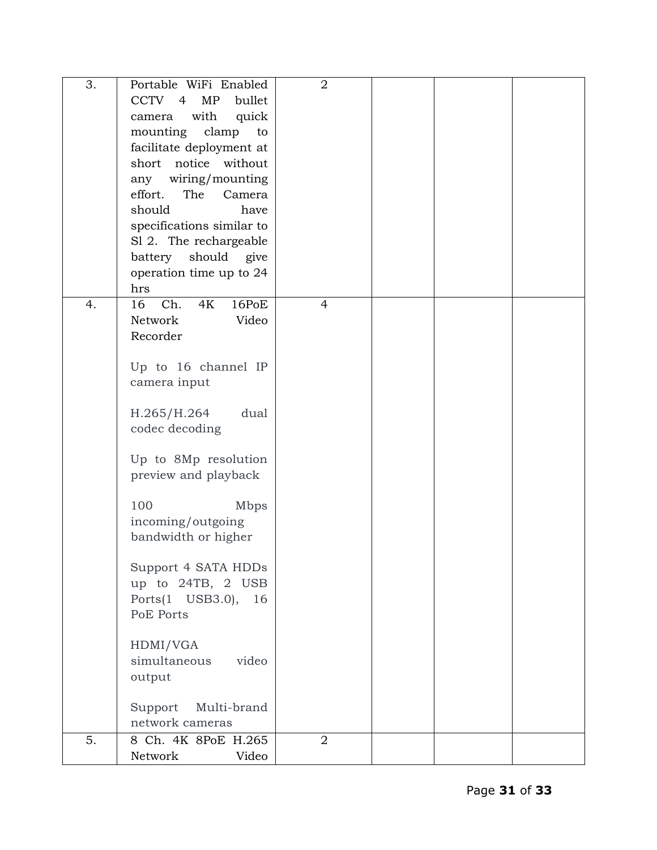| 3. | Portable WiFi Enabled           | $\overline{2}$ |  |  |
|----|---------------------------------|----------------|--|--|
|    | CCTV 4<br>MP<br>bullet          |                |  |  |
|    | with<br>quick<br>camera         |                |  |  |
|    | mounting<br>clamp<br>to         |                |  |  |
|    |                                 |                |  |  |
|    | facilitate deployment at        |                |  |  |
|    | short notice without            |                |  |  |
|    | any wiring/mounting             |                |  |  |
|    | effort.<br>The<br>Camera        |                |  |  |
|    | should<br>have                  |                |  |  |
|    | specifications similar to       |                |  |  |
|    | S1 2. The rechargeable          |                |  |  |
|    | should give<br>battery          |                |  |  |
|    | operation time up to 24         |                |  |  |
|    | hrs                             |                |  |  |
| 4. | Ch.<br>16<br><b>4K</b><br>16PoE | $\overline{4}$ |  |  |
|    | Network<br>Video                |                |  |  |
|    | Recorder                        |                |  |  |
|    |                                 |                |  |  |
|    | Up to 16 channel IP             |                |  |  |
|    | camera input                    |                |  |  |
|    |                                 |                |  |  |
|    | H.265/H.264<br>dual             |                |  |  |
|    | codec decoding                  |                |  |  |
|    |                                 |                |  |  |
|    | Up to 8Mp resolution            |                |  |  |
|    | preview and playback            |                |  |  |
|    |                                 |                |  |  |
|    | 100<br>Mbps                     |                |  |  |
|    | incoming/outgoing               |                |  |  |
|    | bandwidth or higher             |                |  |  |
|    |                                 |                |  |  |
|    | Support 4 SATA HDDs             |                |  |  |
|    | up to 24TB, 2 USB               |                |  |  |
|    | Ports(1 USB3.0),<br>16          |                |  |  |
|    | PoE Ports                       |                |  |  |
|    |                                 |                |  |  |
|    | HDMI/VGA                        |                |  |  |
|    | simultaneous<br>video           |                |  |  |
|    | output                          |                |  |  |
|    |                                 |                |  |  |
|    | Multi-brand<br>Support          |                |  |  |
|    | network cameras                 |                |  |  |
| 5. | 8 Ch. 4K 8PoE H.265             | $\overline{2}$ |  |  |
|    | Network<br>Video                |                |  |  |
|    |                                 |                |  |  |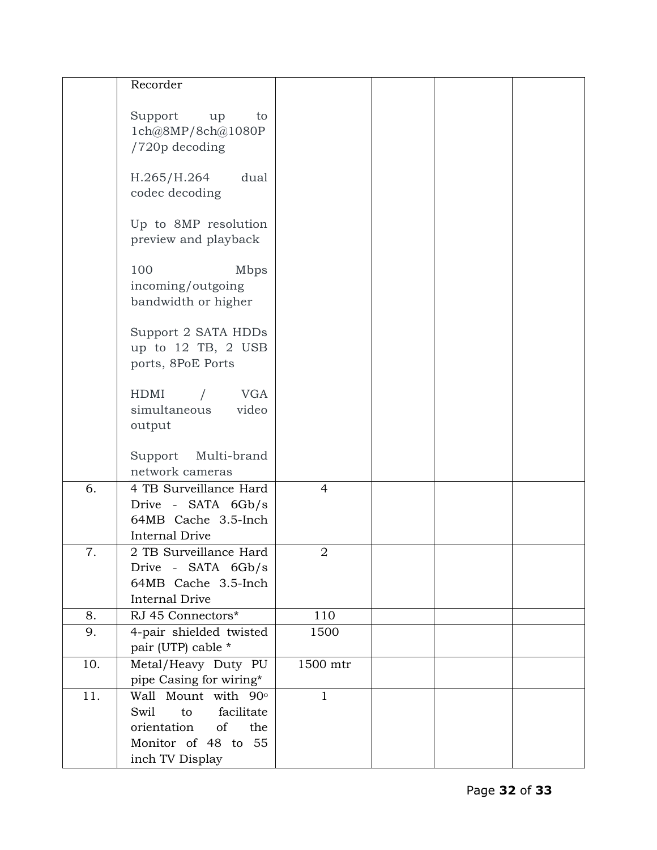|     | Recorder                                                  |                |  |  |
|-----|-----------------------------------------------------------|----------------|--|--|
|     | Support<br>up<br>to                                       |                |  |  |
|     | 1ch@8MP/8ch@1080P<br>/720p decoding                       |                |  |  |
|     | H.265/H.264<br>dual                                       |                |  |  |
|     | codec decoding                                            |                |  |  |
|     | Up to 8MP resolution<br>preview and playback              |                |  |  |
|     | 100<br>Mbps                                               |                |  |  |
|     | incoming/outgoing<br>bandwidth or higher                  |                |  |  |
|     | Support 2 SATA HDDs                                       |                |  |  |
|     | up to 12 TB, 2 USB<br>ports, 8PoE Ports                   |                |  |  |
|     | HDMI<br><b>VGA</b><br>$\sqrt{2}$<br>simultaneous<br>video |                |  |  |
|     | output                                                    |                |  |  |
|     | Support Multi-brand                                       |                |  |  |
|     | network cameras                                           |                |  |  |
| 6.  | 4 TB Surveillance Hard<br>Drive - SATA 6Gb/s              | $\overline{4}$ |  |  |
|     | 64MB Cache 3.5-Inch                                       |                |  |  |
|     | <b>Internal Drive</b>                                     |                |  |  |
| 7.  | 2 TB Surveillance Hard                                    | $\sqrt{2}$     |  |  |
|     | Drive - SATA 6Gb/s                                        |                |  |  |
|     | 64MB Cache 3.5-Inch<br><b>Internal Drive</b>              |                |  |  |
| 8.  | RJ 45 Connectors*                                         | 110            |  |  |
| 9.  | 4-pair shielded twisted                                   | 1500           |  |  |
|     | pair (UTP) cable *                                        |                |  |  |
| 10. | Metal/Heavy Duty PU                                       | 1500 mtr       |  |  |
|     | pipe Casing for wiring*                                   |                |  |  |
| 11. | Wall Mount with 90°                                       | $\mathbf{1}$   |  |  |
|     | facilitate<br>Swil<br>to                                  |                |  |  |
|     | orientation<br>of<br>the<br>Monitor of 48 to 55           |                |  |  |
|     | inch TV Display                                           |                |  |  |
|     |                                                           |                |  |  |